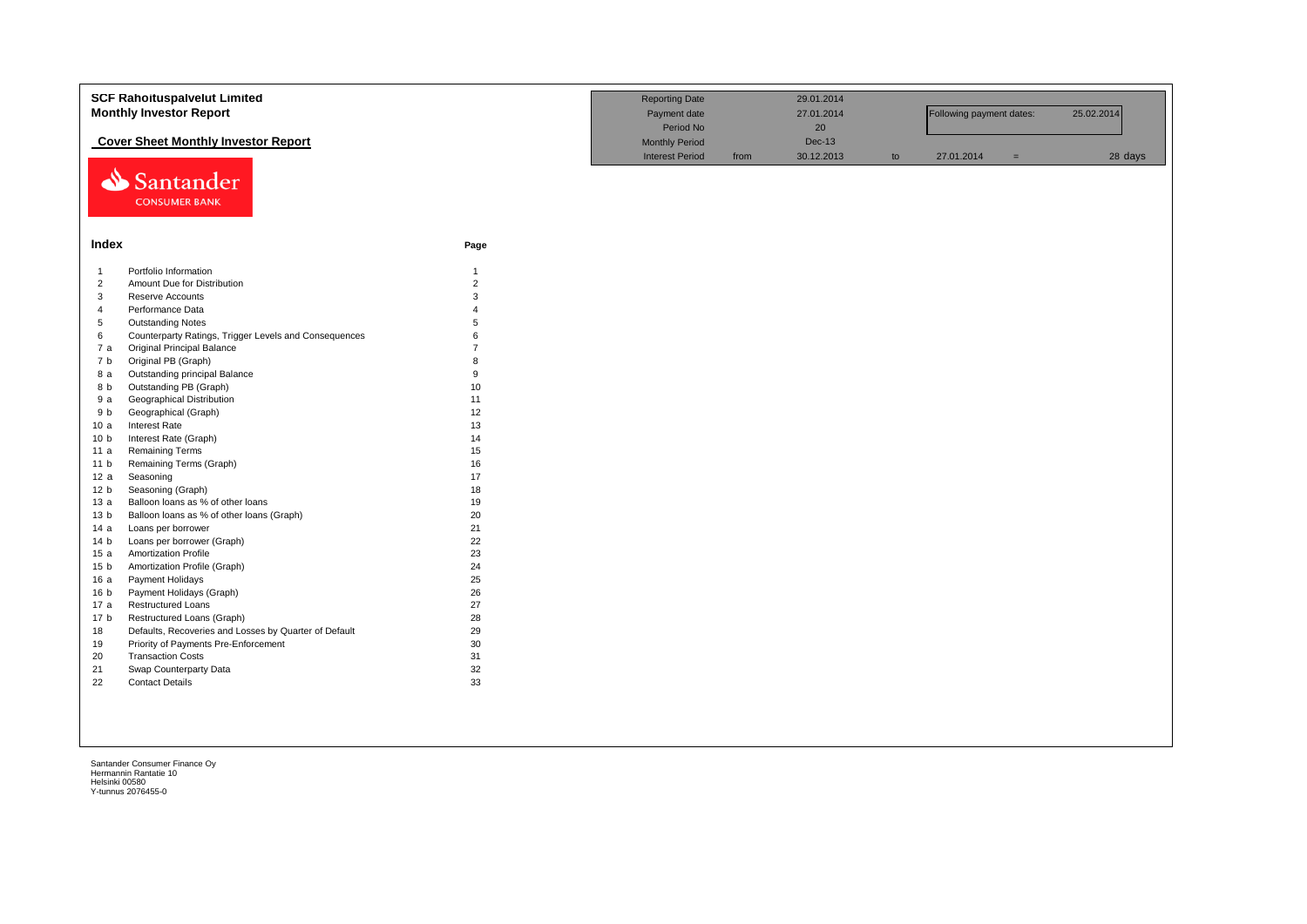|                        | <b>SCF Rahoituspalvelut Limited</b><br><b>Monthly Investor Report</b> |                                                 | <b>Reporting Date</b><br>Payment date<br>Period No |                             | 29.01.2014<br>27.01.2014<br>20 |            | Following payment dates: |         | 25.02.2014 |
|------------------------|-----------------------------------------------------------------------|-------------------------------------------------|----------------------------------------------------|-----------------------------|--------------------------------|------------|--------------------------|---------|------------|
|                        | <b>Cover Sheet Monthly Investor Report</b>                            | <b>Monthly Period</b><br><b>Interest Period</b> | from                                               | <b>Dec-13</b><br>30.12.2013 | to                             | 27.01.2014 | $=$                      | 28 days |            |
| ⇘                      | Santander<br><b>CONSUMER BANK</b>                                     |                                                 |                                                    |                             |                                |            |                          |         |            |
| Index                  |                                                                       | Page                                            |                                                    |                             |                                |            |                          |         |            |
| $\mathbf{1}$           | Portfolio Information                                                 | $\overline{1}$                                  |                                                    |                             |                                |            |                          |         |            |
| $\overline{2}$         | Amount Due for Distribution                                           | $\overline{2}$                                  |                                                    |                             |                                |            |                          |         |            |
| 3                      | Reserve Accounts                                                      | 3                                               |                                                    |                             |                                |            |                          |         |            |
| $\overline{4}$         | Performance Data                                                      | $\Delta$                                        |                                                    |                             |                                |            |                          |         |            |
| $\,$ 5 $\,$            | <b>Outstanding Notes</b>                                              | 5                                               |                                                    |                             |                                |            |                          |         |            |
| 6                      | Counterparty Ratings, Trigger Levels and Consequences                 | 6                                               |                                                    |                             |                                |            |                          |         |            |
| 7a                     | <b>Original Principal Balance</b>                                     | $\overline{7}$                                  |                                                    |                             |                                |            |                          |         |            |
| 7 b                    | Original PB (Graph)                                                   | 8                                               |                                                    |                             |                                |            |                          |         |            |
| 8 a                    | Outstanding principal Balance                                         | 9                                               |                                                    |                             |                                |            |                          |         |            |
| 8 b                    | Outstanding PB (Graph)                                                | 10                                              |                                                    |                             |                                |            |                          |         |            |
| 9a                     | Geographical Distribution                                             | 11                                              |                                                    |                             |                                |            |                          |         |            |
| 9 b                    | Geographical (Graph)                                                  | 12                                              |                                                    |                             |                                |            |                          |         |            |
| 10a                    | <b>Interest Rate</b>                                                  | 13                                              |                                                    |                             |                                |            |                          |         |            |
| 10 <sub>b</sub>        | Interest Rate (Graph)                                                 | 14                                              |                                                    |                             |                                |            |                          |         |            |
| 11 a                   | <b>Remaining Terms</b>                                                | 15                                              |                                                    |                             |                                |            |                          |         |            |
| 11 <sub>b</sub>        | Remaining Terms (Graph)                                               | 16                                              |                                                    |                             |                                |            |                          |         |            |
| 12a                    | Seasoning                                                             | 17                                              |                                                    |                             |                                |            |                          |         |            |
| 12 <sub>b</sub>        | Seasoning (Graph)                                                     | 18                                              |                                                    |                             |                                |            |                          |         |            |
| 13a                    | Balloon loans as % of other loans                                     | 19                                              |                                                    |                             |                                |            |                          |         |            |
| 13 <sub>b</sub>        | Balloon loans as % of other loans (Graph)                             | 20<br>21                                        |                                                    |                             |                                |            |                          |         |            |
| 14 a                   | Loans per borrower<br>Loans per borrower (Graph)                      | 22                                              |                                                    |                             |                                |            |                          |         |            |
| 14 <sub>b</sub><br>15a | <b>Amortization Profile</b>                                           | 23                                              |                                                    |                             |                                |            |                          |         |            |
| 15 <sub>b</sub>        | Amortization Profile (Graph)                                          | 24                                              |                                                    |                             |                                |            |                          |         |            |
| 16 a                   | Payment Holidays                                                      | 25                                              |                                                    |                             |                                |            |                          |         |            |
| 16 <sub>b</sub>        | Payment Holidays (Graph)                                              | 26                                              |                                                    |                             |                                |            |                          |         |            |
| 17 a                   | <b>Restructured Loans</b>                                             | 27                                              |                                                    |                             |                                |            |                          |         |            |
| 17 <sub>b</sub>        | Restructured Loans (Graph)                                            | 28                                              |                                                    |                             |                                |            |                          |         |            |
| 18                     | Defaults, Recoveries and Losses by Quarter of Default                 | 29                                              |                                                    |                             |                                |            |                          |         |            |
| 19                     | Priority of Payments Pre-Enforcement                                  | 30                                              |                                                    |                             |                                |            |                          |         |            |
| 20                     | <b>Transaction Costs</b>                                              | 31                                              |                                                    |                             |                                |            |                          |         |            |
| 21                     | Swap Counterparty Data                                                | 32                                              |                                                    |                             |                                |            |                          |         |            |
| 22                     | <b>Contact Details</b>                                                | 33                                              |                                                    |                             |                                |            |                          |         |            |
|                        |                                                                       |                                                 |                                                    |                             |                                |            |                          |         |            |
|                        |                                                                       |                                                 |                                                    |                             |                                |            |                          |         |            |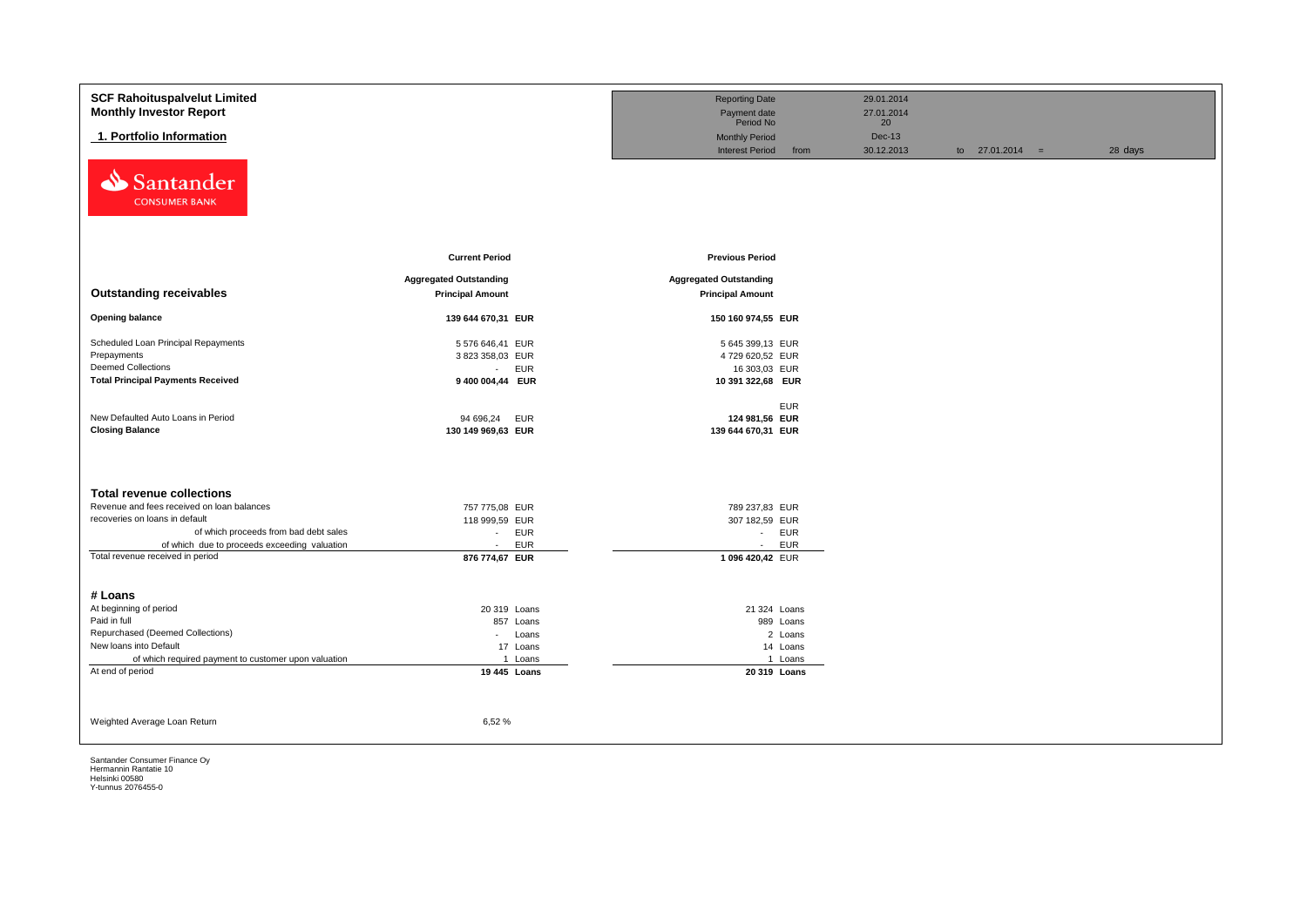| <b>SCF Rahoituspalvelut Limited</b><br><b>Monthly Investor Report</b> |                               | <b>Reporting Date</b><br>Payment date |            | 29.01.2014<br>27.01.2014 |                   |         |
|-----------------------------------------------------------------------|-------------------------------|---------------------------------------|------------|--------------------------|-------------------|---------|
|                                                                       |                               | Period No                             |            | 20                       |                   |         |
| 1. Portfolio Information                                              |                               | <b>Monthly Period</b>                 |            | $Dec-13$                 |                   |         |
|                                                                       |                               | <b>Interest Period</b>                | from       | 30.12.2013               | to $27.01.2014 =$ | 28 days |
| Santander<br>⇘<br><b>CONSUMER BANK</b>                                |                               |                                       |            |                          |                   |         |
|                                                                       | <b>Current Period</b>         | <b>Previous Period</b>                |            |                          |                   |         |
|                                                                       |                               |                                       |            |                          |                   |         |
| <b>Outstanding receivables</b>                                        | <b>Aggregated Outstanding</b> | <b>Aggregated Outstanding</b>         |            |                          |                   |         |
|                                                                       | <b>Principal Amount</b>       | <b>Principal Amount</b>               |            |                          |                   |         |
| <b>Opening balance</b>                                                | 139 644 670,31 EUR            | 150 160 974,55 EUR                    |            |                          |                   |         |
| Scheduled Loan Principal Repayments                                   | 5 576 646,41 EUR              | 5 645 399,13 EUR                      |            |                          |                   |         |
| Prepayments                                                           | 3 823 358,03 EUR              | 4729 620,52 EUR                       |            |                          |                   |         |
| <b>Deemed Collections</b>                                             | <b>EUR</b><br>$\sim$          | 16 303,03 EUR                         |            |                          |                   |         |
| <b>Total Principal Payments Received</b>                              | 9 400 004,44 EUR              | 10 391 322,68 EUR                     |            |                          |                   |         |
|                                                                       |                               |                                       | <b>EUR</b> |                          |                   |         |
| New Defaulted Auto Loans in Period                                    | 94 696,24<br><b>EUR</b>       | 124 981,56 EUR                        |            |                          |                   |         |
| <b>Closing Balance</b>                                                | 130 149 969,63 EUR            | 139 644 670,31 EUR                    |            |                          |                   |         |
|                                                                       |                               |                                       |            |                          |                   |         |
| <b>Total revenue collections</b>                                      |                               |                                       |            |                          |                   |         |
| Revenue and fees received on loan balances                            | 757 775,08 EUR                | 789 237,83 EUR                        |            |                          |                   |         |
| recoveries on loans in default                                        | 118 999,59 EUR                | 307 182,59 EUR                        |            |                          |                   |         |
| of which proceeds from bad debt sales                                 | <b>EUR</b><br>$\sim$          | - EUR                                 |            |                          |                   |         |
| of which due to proceeds exceeding valuation                          | <b>EUR</b><br>$\sim$          | $\sim 10$                             | <b>EUR</b> |                          |                   |         |
| Total revenue received in period                                      | 876 774,67 EUR                | 1 096 420,42 EUR                      |            |                          |                   |         |
| # Loans                                                               |                               |                                       |            |                          |                   |         |
| At beginning of period                                                | 20 319 Loans                  | 21 324 Loans                          |            |                          |                   |         |
| Paid in full                                                          | 857 Loans                     |                                       | 989 Loans  |                          |                   |         |
| Repurchased (Deemed Collections)                                      | Loans<br>$\sim 100$           |                                       | 2 Loans    |                          |                   |         |
| New loans into Default                                                | 17 Loans                      |                                       | 14 Loans   |                          |                   |         |
| of which required payment to customer upon valuation                  | 1 Loans                       |                                       | 1 Loans    |                          |                   |         |
| At end of period                                                      | 19 445 Loans                  | 20 319 Loans                          |            |                          |                   |         |
|                                                                       |                               |                                       |            |                          |                   |         |
| Weighted Average Loan Return                                          | 6,52%                         |                                       |            |                          |                   |         |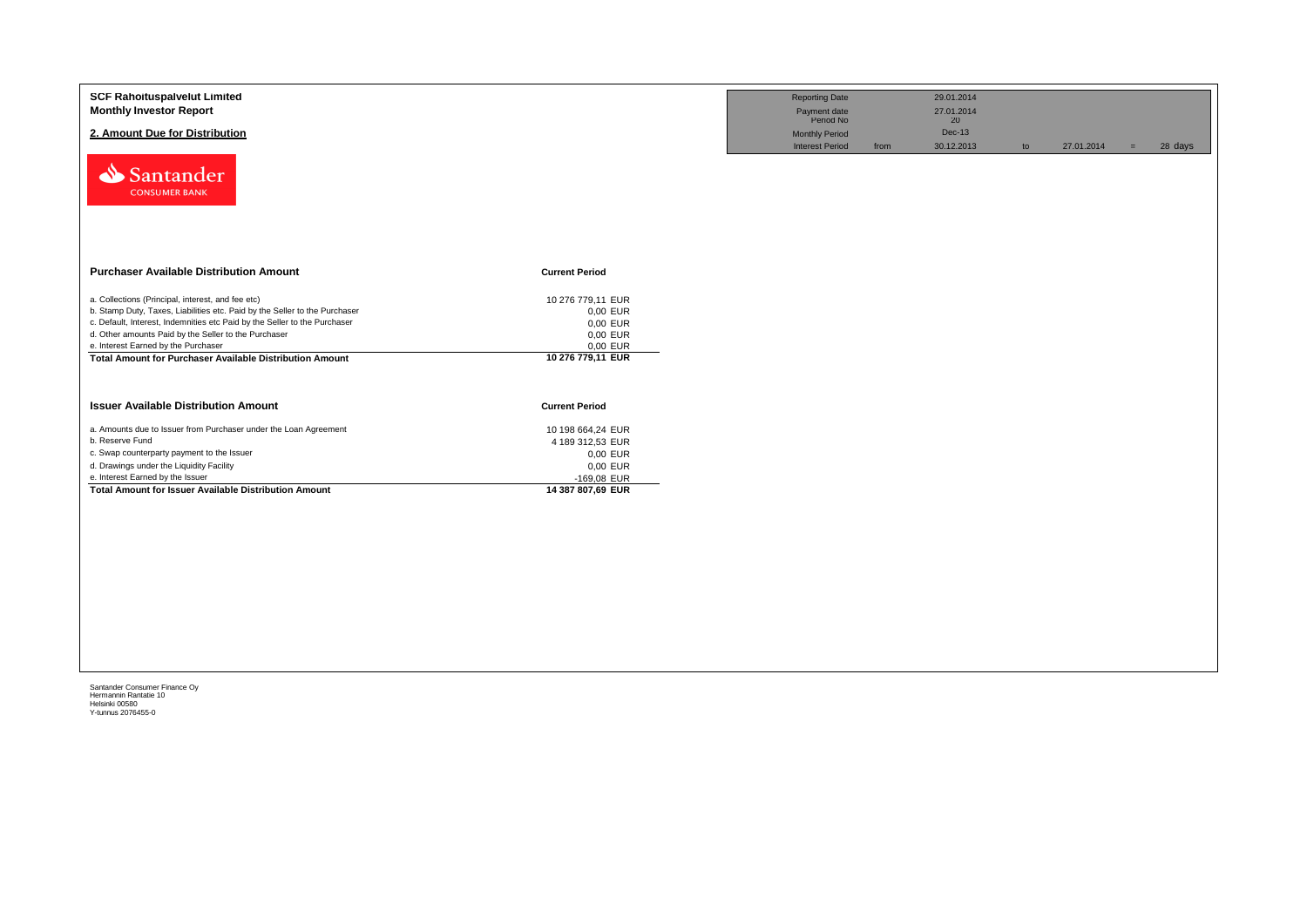| <b>SCF Rahoituspalvelut Limited</b><br><b>Monthly Investor Report</b><br>2. Amount Due for Distribution                                                                                                                                                                                                     |                                                                   | <b>Reporting Date</b><br>Payment date<br>Period No<br><b>Monthly Period</b><br><b>Interest Period</b> | from | 29.01.2014<br>27.01.2014<br>20<br>Dec-13<br>30.12.2013 | to | 27.01.2014 | $=$ | 28 days |
|-------------------------------------------------------------------------------------------------------------------------------------------------------------------------------------------------------------------------------------------------------------------------------------------------------------|-------------------------------------------------------------------|-------------------------------------------------------------------------------------------------------|------|--------------------------------------------------------|----|------------|-----|---------|
| Santander<br><b>CONSUMER BANK</b>                                                                                                                                                                                                                                                                           |                                                                   |                                                                                                       |      |                                                        |    |            |     |         |
| <b>Purchaser Available Distribution Amount</b>                                                                                                                                                                                                                                                              | <b>Current Period</b>                                             |                                                                                                       |      |                                                        |    |            |     |         |
| a. Collections (Principal, interest, and fee etc)<br>b. Stamp Duty, Taxes, Liabilities etc. Paid by the Seller to the Purchaser<br>c. Default, Interest, Indemnities etc Paid by the Seller to the Purchaser<br>d. Other amounts Paid by the Seller to the Purchaser<br>e. Interest Earned by the Purchaser | 10 276 779,11 EUR<br>0,00 EUR<br>0,00 EUR<br>0,00 EUR<br>0,00 EUR |                                                                                                       |      |                                                        |    |            |     |         |
| <b>Total Amount for Purchaser Available Distribution Amount</b>                                                                                                                                                                                                                                             | 10 276 779,11 EUR                                                 |                                                                                                       |      |                                                        |    |            |     |         |
| <b>Issuer Available Distribution Amount</b>                                                                                                                                                                                                                                                                 | <b>Current Period</b>                                             |                                                                                                       |      |                                                        |    |            |     |         |
| a. Amounts due to Issuer from Purchaser under the Loan Agreement                                                                                                                                                                                                                                            | 10 198 664,24 EUR                                                 |                                                                                                       |      |                                                        |    |            |     |         |
| b. Reserve Fund                                                                                                                                                                                                                                                                                             | 4 189 312,53 EUR                                                  |                                                                                                       |      |                                                        |    |            |     |         |
| c. Swap counterparty payment to the Issuer                                                                                                                                                                                                                                                                  | 0,00 EUR                                                          |                                                                                                       |      |                                                        |    |            |     |         |
| d. Drawings under the Liquidity Facility<br>e. Interest Earned by the Issuer                                                                                                                                                                                                                                | 0,00 EUR<br>-169,08 EUR                                           |                                                                                                       |      |                                                        |    |            |     |         |
| <b>Total Amount for Issuer Available Distribution Amount</b>                                                                                                                                                                                                                                                | 14 387 807,69 EUR                                                 |                                                                                                       |      |                                                        |    |            |     |         |
|                                                                                                                                                                                                                                                                                                             |                                                                   |                                                                                                       |      |                                                        |    |            |     |         |
|                                                                                                                                                                                                                                                                                                             |                                                                   |                                                                                                       |      |                                                        |    |            |     |         |
|                                                                                                                                                                                                                                                                                                             |                                                                   |                                                                                                       |      |                                                        |    |            |     |         |
|                                                                                                                                                                                                                                                                                                             |                                                                   |                                                                                                       |      |                                                        |    |            |     |         |
|                                                                                                                                                                                                                                                                                                             |                                                                   |                                                                                                       |      |                                                        |    |            |     |         |
|                                                                                                                                                                                                                                                                                                             |                                                                   |                                                                                                       |      |                                                        |    |            |     |         |
|                                                                                                                                                                                                                                                                                                             |                                                                   |                                                                                                       |      |                                                        |    |            |     |         |
|                                                                                                                                                                                                                                                                                                             |                                                                   |                                                                                                       |      |                                                        |    |            |     |         |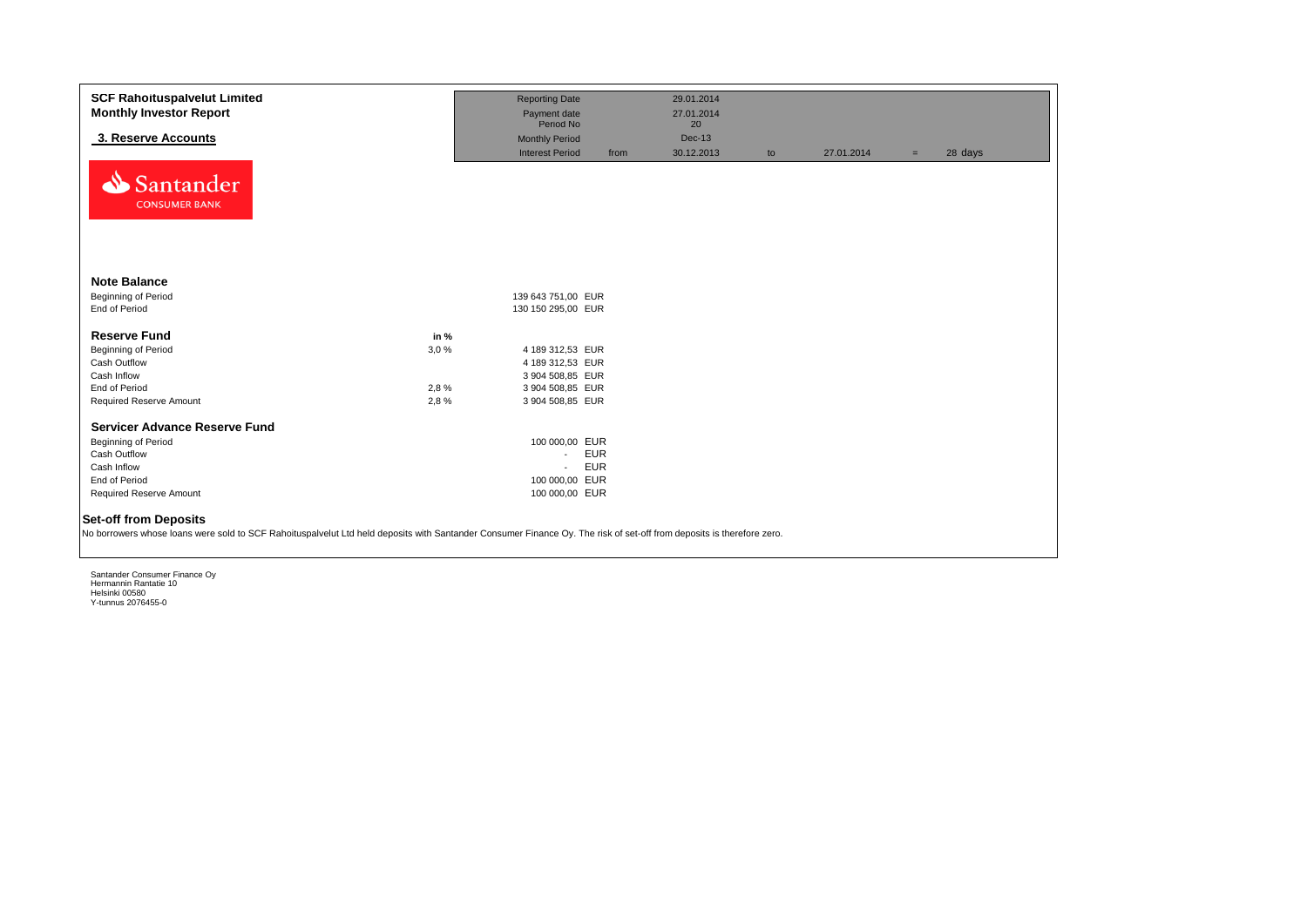| <b>SCF Rahoituspalvelut Limited</b>                                                                                                                                                                   | <b>Reporting Date</b>  |            | 29.01.2014 |    |            |     |         |
|-------------------------------------------------------------------------------------------------------------------------------------------------------------------------------------------------------|------------------------|------------|------------|----|------------|-----|---------|
| <b>Monthly Investor Report</b>                                                                                                                                                                        | Payment date           |            | 27.01.2014 |    |            |     |         |
|                                                                                                                                                                                                       | Period No              |            | 20         |    |            |     |         |
| 3. Reserve Accounts                                                                                                                                                                                   | <b>Monthly Period</b>  |            | Dec-13     |    |            |     |         |
|                                                                                                                                                                                                       | <b>Interest Period</b> | from       | 30.12.2013 | to | 27.01.2014 | $=$ | 28 days |
| Santander<br><b>CONSUMER BANK</b>                                                                                                                                                                     |                        |            |            |    |            |     |         |
| <b>Note Balance</b>                                                                                                                                                                                   |                        |            |            |    |            |     |         |
| <b>Beginning of Period</b>                                                                                                                                                                            | 139 643 751.00 EUR     |            |            |    |            |     |         |
| End of Period                                                                                                                                                                                         | 130 150 295,00 EUR     |            |            |    |            |     |         |
| <b>Reserve Fund</b><br>in $%$                                                                                                                                                                         |                        |            |            |    |            |     |         |
| Beginning of Period<br>3,0%                                                                                                                                                                           | 4 189 312,53 EUR       |            |            |    |            |     |         |
| Cash Outflow                                                                                                                                                                                          | 4 189 312,53 EUR       |            |            |    |            |     |         |
| Cash Inflow                                                                                                                                                                                           | 3 904 508,85 EUR       |            |            |    |            |     |         |
| 2,8%<br>End of Period                                                                                                                                                                                 | 3 904 508,85 EUR       |            |            |    |            |     |         |
| Required Reserve Amount<br>2,8%                                                                                                                                                                       | 3 904 508,85 EUR       |            |            |    |            |     |         |
| <b>Servicer Advance Reserve Fund</b>                                                                                                                                                                  |                        |            |            |    |            |     |         |
| Beginning of Period                                                                                                                                                                                   | 100 000,00 EUR         |            |            |    |            |     |         |
| Cash Outflow                                                                                                                                                                                          | $\sim$                 | <b>EUR</b> |            |    |            |     |         |
| Cash Inflow                                                                                                                                                                                           | $\sim$                 | <b>EUR</b> |            |    |            |     |         |
| End of Period                                                                                                                                                                                         | 100 000,00 EUR         |            |            |    |            |     |         |
| Required Reserve Amount                                                                                                                                                                               | 100 000,00 EUR         |            |            |    |            |     |         |
| <b>Set-off from Deposits</b><br>No borrowers whose loans were sold to SCF Rahoituspalvelut Ltd held deposits with Santander Consumer Finance Oy. The risk of set-off from deposits is therefore zero. |                        |            |            |    |            |     |         |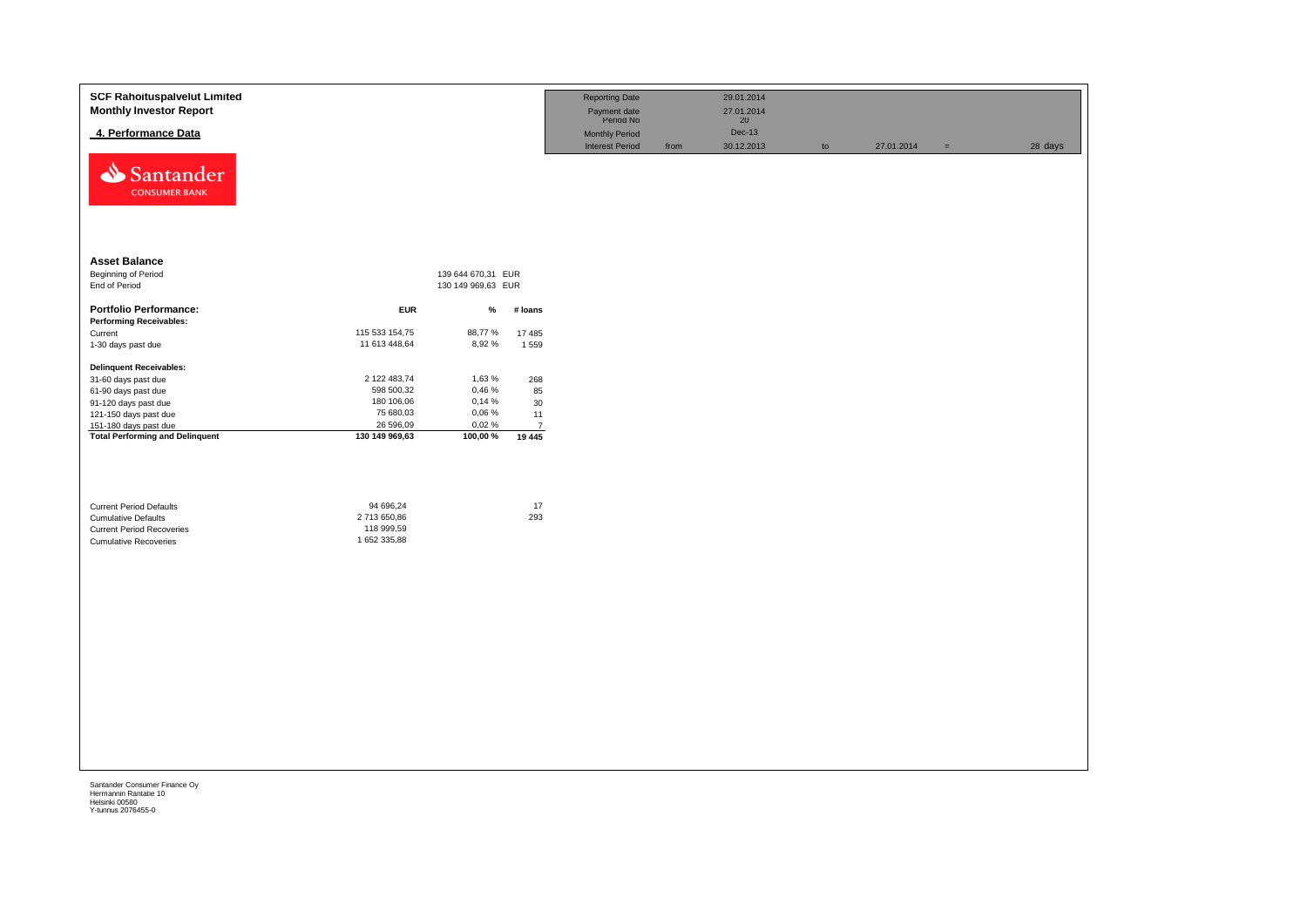| <b>SCF Rahoituspalvelut Limited</b><br><b>Monthly Investor Report</b>                                                            |                                                         |                    |                          | <b>Reporting Date</b><br>Payment date<br>Period No |      | 29.01.2014<br>27.01.2014<br>$20\,$ |               |            |          |         |
|----------------------------------------------------------------------------------------------------------------------------------|---------------------------------------------------------|--------------------|--------------------------|----------------------------------------------------|------|------------------------------------|---------------|------------|----------|---------|
| 4. Performance Data                                                                                                              |                                                         |                    |                          | <b>Monthly Period</b><br><b>Interest Period</b>    | from | <b>Dec-13</b><br>30.12.2013        | $\mathsf{to}$ | 27.01.2014 |          | 28 days |
| Santander<br><b>CONSUMER BANK</b>                                                                                                |                                                         |                    |                          |                                                    |      |                                    |               |            | $\equiv$ |         |
| <b>Asset Balance</b>                                                                                                             |                                                         |                    |                          |                                                    |      |                                    |               |            |          |         |
| <b>Beginning of Period</b>                                                                                                       |                                                         | 139 644 670,31 EUR |                          |                                                    |      |                                    |               |            |          |         |
| End of Period                                                                                                                    |                                                         | 130 149 969,63 EUR |                          |                                                    |      |                                    |               |            |          |         |
| <b>Portfolio Performance:</b>                                                                                                    | <b>EUR</b>                                              | %                  | # Ioans                  |                                                    |      |                                    |               |            |          |         |
| <b>Performing Receivables:</b>                                                                                                   |                                                         |                    |                          |                                                    |      |                                    |               |            |          |         |
| Current                                                                                                                          | 115 533 154,75                                          | 88,77%             | 17 485                   |                                                    |      |                                    |               |            |          |         |
| 1-30 days past due                                                                                                               | 11 613 448,64                                           | 8,92%              | 1559                     |                                                    |      |                                    |               |            |          |         |
| <b>Delinquent Receivables:</b>                                                                                                   |                                                         |                    |                          |                                                    |      |                                    |               |            |          |         |
| 31-60 days past due                                                                                                              | 2 122 483,74                                            | 1,63%              | 268                      |                                                    |      |                                    |               |            |          |         |
| 61-90 days past due                                                                                                              | 598 500,32                                              | 0,46 %             | 85                       |                                                    |      |                                    |               |            |          |         |
| 91-120 days past due                                                                                                             | 180 106,06                                              | 0,14%              | 30                       |                                                    |      |                                    |               |            |          |         |
| 121-150 days past due                                                                                                            | 75 680,03                                               | 0,06 %             | 11                       |                                                    |      |                                    |               |            |          |         |
| 151-180 days past due<br><b>Total Performing and Delinquent</b>                                                                  | 26 596,09<br>130 149 969,63                             | 0,02%<br>100,00 %  | $\overline{7}$<br>19 445 |                                                    |      |                                    |               |            |          |         |
| <b>Current Period Defaults</b><br><b>Cumulative Defaults</b><br><b>Current Period Recoveries</b><br><b>Cumulative Recoveries</b> | 94 696,24<br>2 713 650,86<br>118 999,59<br>1 652 335,88 |                    | 17<br>293                |                                                    |      |                                    |               |            |          |         |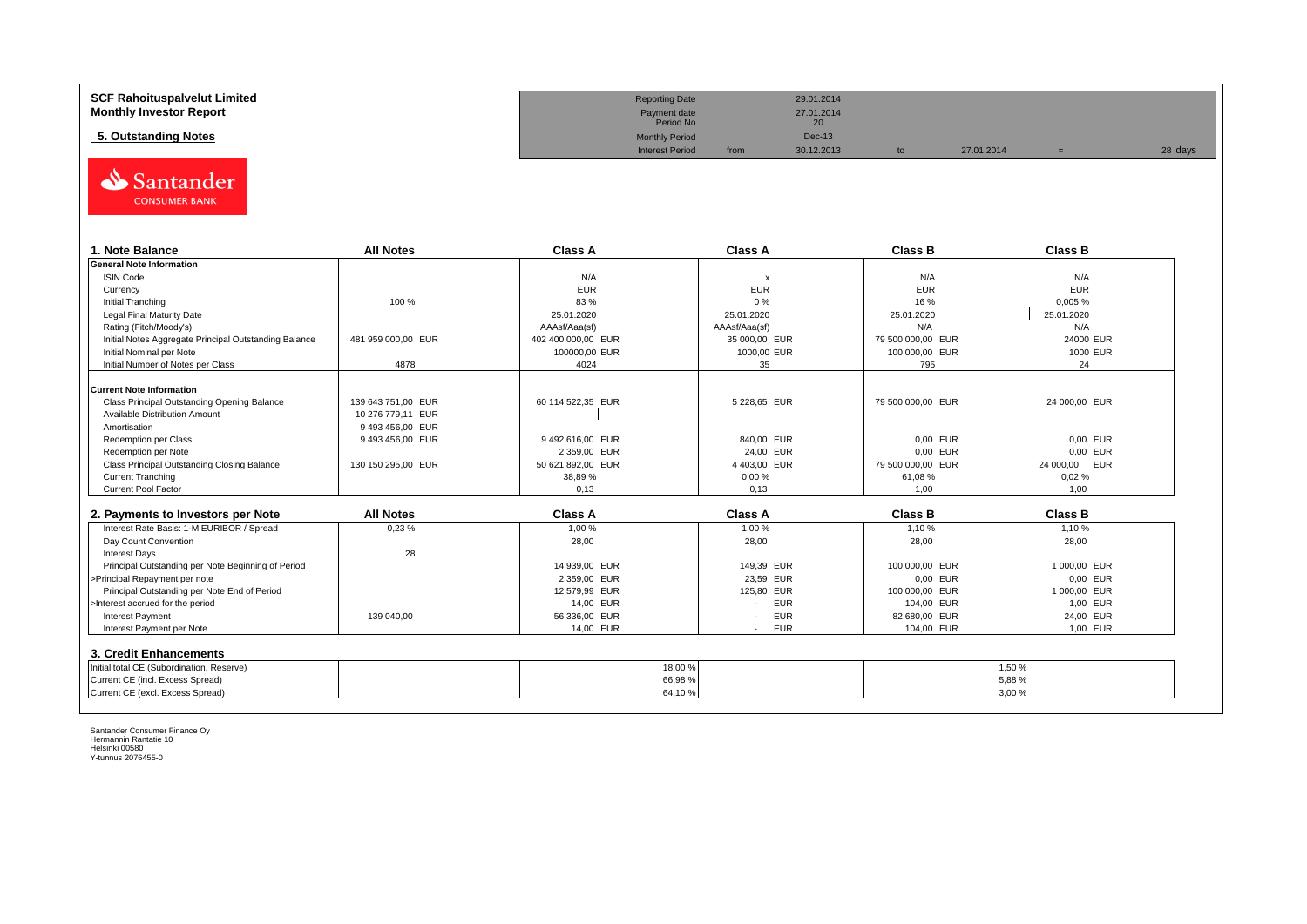| <b>SCF Rahoituspalvelut Limited</b> | <b>Reporting Date</b>     |      | 29.01.2014       |            |         |
|-------------------------------------|---------------------------|------|------------------|------------|---------|
| <b>Monthly Investor Report</b>      | Payment date<br>Period No |      | 27.01.2014<br>20 |            |         |
| 5. Outstanding Notes                | <b>Monthly Period</b>     |      | <b>Dec-13</b>    |            |         |
|                                     | <b>Interest Period</b>    | from | 30.12.2013       | 27.01.2014 | 28 days |



| . Note Balance                                        | <b>All Notes</b>   | <b>Class A</b>     | <b>Class A</b>            | <b>Class B</b>    | <b>Class B</b> |
|-------------------------------------------------------|--------------------|--------------------|---------------------------|-------------------|----------------|
| <b>General Note Information</b>                       |                    |                    |                           |                   |                |
| <b>ISIN Code</b>                                      |                    | N/A                | $\boldsymbol{\mathsf{x}}$ | N/A               | N/A            |
| Currency                                              |                    | <b>EUR</b>         | <b>EUR</b>                | <b>EUR</b>        | <b>EUR</b>     |
| Initial Tranching                                     | 100 %              | 83 %               | 0%                        | 16 %              | 0,005%         |
| Legal Final Maturity Date                             |                    | 25.01.2020         | 25.01.2020                | 25.01.2020        | 25.01.2020     |
| Rating (Fitch/Moody's)                                |                    | AAAsf/Aaa(sf)      | AAAsf/Aaa(sf)             | N/A               | N/A            |
| Initial Notes Aggregate Principal Outstanding Balance | 481 959 000.00 EUR | 402 400 000.00 EUR | 35 000.00 EUR             | 79 500 000.00 EUR | 24000 EUR      |
| Initial Nominal per Note                              |                    | 100000,00 EUR      | 1000,00 EUR               | 100 000,00 EUR    | 1000 EUR       |
| Initial Number of Notes per Class                     | 4878               | 4024               | 35                        | 795               | 24             |
|                                                       |                    |                    |                           |                   |                |
| <b>Current Note Information</b>                       |                    |                    |                           |                   |                |
| Class Principal Outstanding Opening Balance           | 139 643 751.00 EUR | 60 114 522.35 EUR  | 5 228,65 EUR              | 79 500 000,00 EUR | 24 000,00 EUR  |
| Available Distribution Amount                         | 10 276 779.11 EUR  |                    |                           |                   |                |
| Amortisation                                          | 9493456.00 EUR     |                    |                           |                   |                |
| Redemption per Class                                  | 9 493 456,00 EUR   | 9492616,00 EUR     | 840,00 EUR                | 0,00 EUR          | 0.00 EUR       |
| Redemption per Note                                   |                    | 2 359,00 EUR       | 24,00 EUR                 | 0,00 EUR          | 0.00 EUR       |
| Class Principal Outstanding Closing Balance           | 130 150 295,00 EUR | 50 621 892,00 EUR  | 4 403,00 EUR              | 79 500 000,00 EUR | 24 000,00 EUR  |
| <b>Current Tranching</b>                              |                    | 38,89 %            | 0,00%                     | 61.08%            | 0.02%          |
| <b>Current Pool Factor</b>                            |                    | 0.13               | 0.13                      | 1.00              | 1.00           |

| 2. Payments to Investors per Note                  | <b>All Notes</b> | <b>Class A</b> | <b>Class A</b>                         | <b>Class B</b> | <b>Class B</b> |
|----------------------------------------------------|------------------|----------------|----------------------------------------|----------------|----------------|
| Interest Rate Basis: 1-M EURIBOR / Spread          | 0,23%            | 1,00 %         | 1.00 %                                 | 1.10%          | 1,10 %         |
| Day Count Convention                               |                  | 28,00          | 28,00                                  | 28,00          | 28,00          |
| <b>Interest Days</b>                               | 28               |                |                                        |                |                |
| Principal Outstanding per Note Beginning of Period |                  | 14 939.00 EUR  | 149.39 EUR                             | 100 000,00 EUR | 1 000.00 EUR   |
| >Principal Repayment per note                      |                  | 2 359.00 EUR   | 23.59 EUR                              | 0.00 EUR       | 0.00 EUR       |
| Principal Outstanding per Note End of Period       |                  | 12 579.99 EUR  | 125.80 EUR                             | 100 000,00 EUR | 1 000.00 EUR   |
| >Interest accrued for the period                   |                  | 14.00 EUR      | <b>EUR</b>                             | 104.00 EUR     | 1.00 EUR       |
| <b>Interest Payment</b>                            | 139 040.00       | 56 336,00 EUR  | <b>EUR</b><br>$\overline{\phantom{a}}$ | 82 680.00 EUR  | 24.00 EUR      |
| Interest Payment per Note                          |                  | 14,00 EUR      | <b>EUR</b>                             | 104.00 EUR     | 1,00 EUR       |
| 3. Credit Enhancements                             |                  |                |                                        |                |                |
| Initial total CE (Subordination, Reserve)          |                  | 18,00 %        |                                        |                | 1,50%          |
| Current CE (incl. Excess Spread)                   |                  | 66,98%         |                                        |                | 5.88%          |
| Current CE (excl. Excess Spread)                   |                  | 64,10%         |                                        |                | 3,00%          |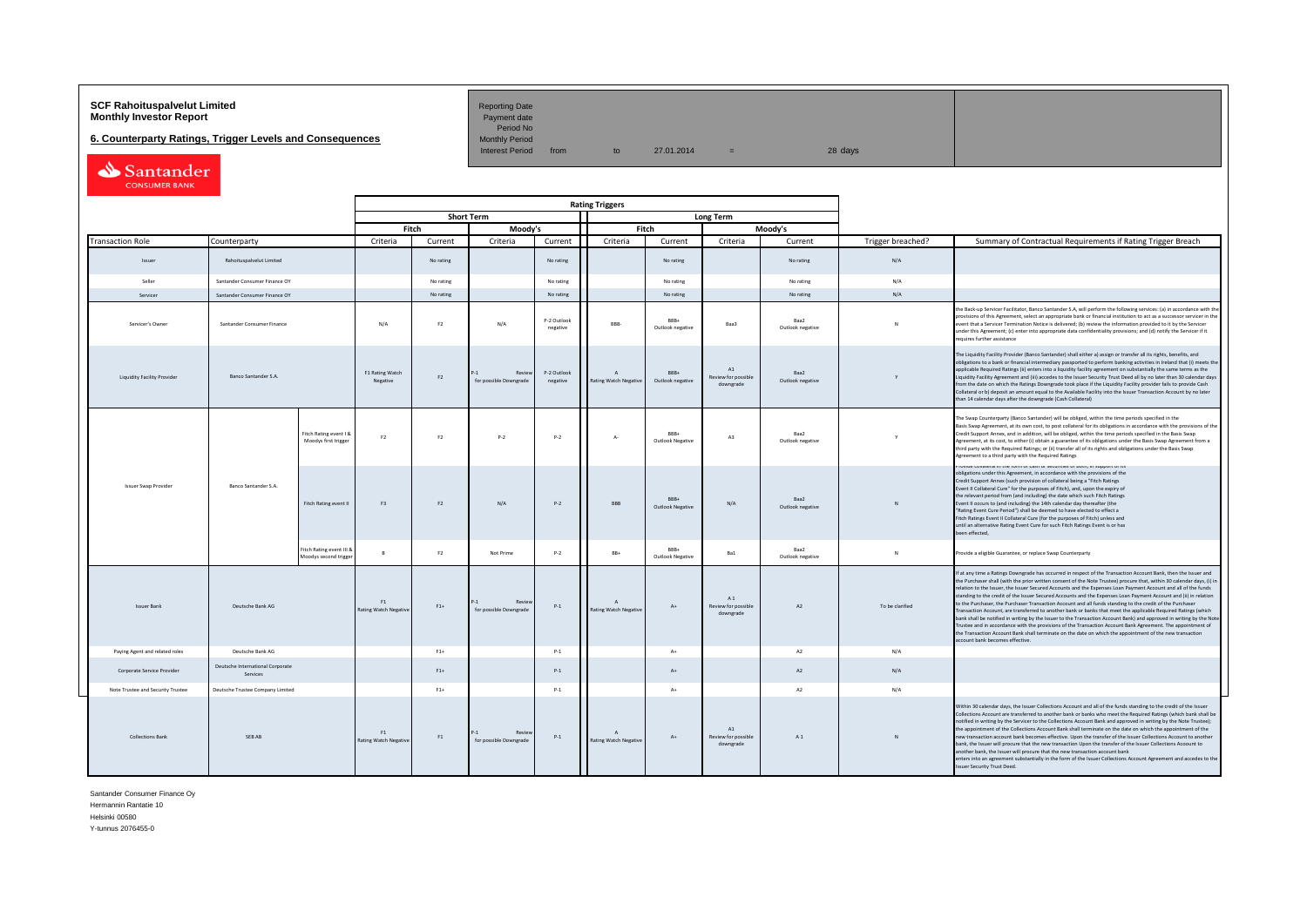# **SCF Rahoituspalvelut Limited Accord Reporting Date**<br>**Monthly Investor Report** Payment date **Monthly Investor Report**

Period No<br>Monthly Period

**6. Counterparty Ratings, Trigger Levels and Consequences**<br>Monthly Period Monthly Period from

 $10 \t 27.01.2014 = 28 \text{ days}$ 

| Santander            |
|----------------------|
| <b>CONSUMER BANK</b> |

|                                   |                                              |                                                   |                                    |                   |                                          |                         | <b>Rating Triggers</b>                       |                            |                                                    |                          |                   |                                                                                                                                                                                                                                                                                                                                                                                                                                                                                                                                                                                                                                                                                                                                                                                                                                                                                                                                                                                                                                                                                                      |
|-----------------------------------|----------------------------------------------|---------------------------------------------------|------------------------------------|-------------------|------------------------------------------|-------------------------|----------------------------------------------|----------------------------|----------------------------------------------------|--------------------------|-------------------|------------------------------------------------------------------------------------------------------------------------------------------------------------------------------------------------------------------------------------------------------------------------------------------------------------------------------------------------------------------------------------------------------------------------------------------------------------------------------------------------------------------------------------------------------------------------------------------------------------------------------------------------------------------------------------------------------------------------------------------------------------------------------------------------------------------------------------------------------------------------------------------------------------------------------------------------------------------------------------------------------------------------------------------------------------------------------------------------------|
| Counterparty                      |                                              |                                                   |                                    | <b>Short Term</b> |                                          |                         |                                              |                            | <b>Long Term</b>                                   |                          |                   |                                                                                                                                                                                                                                                                                                                                                                                                                                                                                                                                                                                                                                                                                                                                                                                                                                                                                                                                                                                                                                                                                                      |
|                                   |                                              |                                                   |                                    | Fitch             | Moody's                                  |                         |                                              | Fitch                      |                                                    | Moodv's                  |                   |                                                                                                                                                                                                                                                                                                                                                                                                                                                                                                                                                                                                                                                                                                                                                                                                                                                                                                                                                                                                                                                                                                      |
| <b>Transaction Role</b>           |                                              |                                                   | Criteria                           | Current           | Criteria                                 | Current                 | Criteria                                     | Current                    | Criteria                                           | Current                  | Trigger breached? | Summary of Contractual Requirements if Rating Trigger Breach                                                                                                                                                                                                                                                                                                                                                                                                                                                                                                                                                                                                                                                                                                                                                                                                                                                                                                                                                                                                                                         |
| Issuer                            | Rahoituspalvelut Limited                     |                                                   |                                    | No rating         |                                          | No rating               |                                              | No rating                  |                                                    | No rating                | N/A               |                                                                                                                                                                                                                                                                                                                                                                                                                                                                                                                                                                                                                                                                                                                                                                                                                                                                                                                                                                                                                                                                                                      |
| Seller                            | Santander Consumer Finance OY                |                                                   |                                    | No rating         |                                          | No rating               |                                              | No rating                  |                                                    | No rating                | N/A               |                                                                                                                                                                                                                                                                                                                                                                                                                                                                                                                                                                                                                                                                                                                                                                                                                                                                                                                                                                                                                                                                                                      |
| Servicer                          | Santander Consumer Finance OY                |                                                   |                                    | No rating         |                                          | No rating               |                                              | No rating                  |                                                    | No rating                | N/A               |                                                                                                                                                                                                                                                                                                                                                                                                                                                                                                                                                                                                                                                                                                                                                                                                                                                                                                                                                                                                                                                                                                      |
| Servicer's Owner                  | Santander Consumer Finance                   |                                                   | N/A                                | F <sub>2</sub>    | N/A                                      | P-2 Outlook<br>negative | RRR-                                         | BBB+<br>Outlook negative   | Baa3                                               | Baa2<br>Outlook negative | <b>N</b>          | the Back-up Servicer Facilitator, Banco Santander S.A, will perform the following services: (a) in accordance with the<br>provisions of this Agreement, select an appropriate bank or financial institution to act as a successor servicer in the<br>event that a Servicer Termination Notice is delivered; (b) review the information provided to it by the Servicer<br>under this Agreement; (c) enter into appropriate data confidentiality provisions; and (d) notify the Servicer if it<br>requires further assistance                                                                                                                                                                                                                                                                                                                                                                                                                                                                                                                                                                          |
| Liquidity Facility Provider       | <b>Banco Santander S.A.</b>                  |                                                   | F1 Rating Watch<br>Negative        | F <sub>2</sub>    | Revie<br>for possible Downgrade          | P-2 Outlook<br>negative | $\Lambda$<br>Rating Watch Negative           | $RRR+$<br>Outlook negative | A1<br>Review for possible<br>downgrade             | Raa2<br>Outlook negative | Y                 | The Liquidity Facility Provider (Banco Santander) shall either a) assign or transfer all its rights, benefits, and<br>obligations to a bank or financial intermediary passported to perform banking activities in Ireland that (i) meets the<br>applicable Required Ratings (ii) enters into a liquidity facility agreement on substantially the same terms as the<br>Liquidity Facility Agreement and (iii) accedes to the Issuer Security Trust Deed all by no later than 30 calendar days<br>from the date on which the Ratings Downgrade took place if the Liquidity Facility provider fails to provide Cash<br>Collateral or b) deposit an amount equal to the Available Facility into the Issuer Transaction Account by no later<br>than 14 calendar days after the downgrade (Cash Collateral)                                                                                                                                                                                                                                                                                                |
|                                   |                                              | Fitch Rating event I 8<br>Moodys first trigger    | F <sub>2</sub>                     | F2                | $P-2$                                    | $P-2$                   | $A -$                                        | BBB+<br>Outlook Negative   | A3                                                 | Baa2<br>Outlook negative |                   | The Swap Counterparty (Banco Santander) will be obliged, within the time periods specified in the<br>Basis Swap Agreement, at its own cost, to post collateral for its obligations in accordance with the provisions of the<br>Credit Support Annex, and in addition, will be obliged, within the time periods specified in the Basis Swap<br>Agreement, at its cost, to either (i) obtain a guarantee of its obligations under the Basis Swap Agreement from a<br>third party with the Required Ratings; or (ii) transfer all of its rights and obligations under the Basis Swap<br>Agreement to a third party with the Required Ratings                                                                                                                                                                                                                                                                                                                                                                                                                                                            |
| <b>Issuer Swap Provider</b>       | Banco Santander S.A.                         | Fitch Rating event II                             | F <sub>3</sub>                     | F2                | N/A                                      | $P-2$                   | <b>BBB</b>                                   | RRR+<br>Outlook Negative   | N/A                                                | Raa2<br>Outlook negative | N                 | .<br>Frovide conaterariii die ionii or casii or secundes or dodițiii support or its<br>obligations under this Agreement, in accordance with the provisions of the<br>Credit Support Annex (such provision of collateral being a "Fitch Ratings<br>Event II Collateral Cure" for the purposes of Fitch), and, upon the expiry of<br>the relevant period from (and including) the date which such Fitch Ratings<br>Event II occurs to (and including) the 14th calendar day thereafter (the<br>"Rating Event Cure Period") shall be deemed to have elected to effect a<br>Fitch Ratings Event II Collateral Cure (for the purposes of Fitch) unless and<br>until an alternative Rating Event Cure for such Fitch Ratings Event is or has<br>been effected,                                                                                                                                                                                                                                                                                                                                             |
|                                   |                                              | Fitch Rating event III &<br>Aoodys second trigger | R                                  | F <sub>2</sub>    | Not Prime                                | $P-2$                   | BB+                                          | BBB+<br>Outlook Negative   | Ba1                                                | Raa2<br>Outlook negative | N                 | Provide a eligible Guarantee, or replace Swap Counterparty                                                                                                                                                                                                                                                                                                                                                                                                                                                                                                                                                                                                                                                                                                                                                                                                                                                                                                                                                                                                                                           |
| <b>Issuer Bank</b>                | Deutsche Bank AG                             |                                                   | F1<br>Rating Watch Negative        | $F1+$             | Revie<br>$D-1$<br>for possible Downgrade | $P-1$                   | $\Lambda$<br><b>Rating Watch Negative</b>    | $A+$                       | A <sub>1</sub><br>Review for possible<br>downgrade | A2                       | To be clarified   | If at any time a Ratings Downgrade has occurred in respect of the Transaction Account Bank, then the Issuer and<br>the Purchaser shall (with the prior written consent of the Note Trustee) procure that, within 30 calendar days, (i) in<br>relation to the Issuer, the Issuer Secured Accounts and the Expenses Loan Payment Account and all of the funds<br>standing to the credit of the Issuer Secured Accounts and the Expenses Loan Payment Account and (ii) in relation<br>to the Purchaser, the Purchaser Transaction Account and all funds standing to the credit of the Purchaser<br>Transaction Account, are transferred to another bank or banks that meet the applicable Required Ratings (which<br>bank shall be notified in writing by the Issuer to the Transaction Account Bank) and approved in writing by the Note<br>Trustee and in accordance with the provisions of the Transaction Account Bank Agreement. The appointment of<br>the Transaction Account Bank shall terminate on the date on which the appointment of the new transaction<br>account bank becomes effective. |
| Paying Agent and related roles    | Deutsche Bank AG                             |                                                   |                                    | $F1+$             |                                          | $P-1$                   |                                              | $A+$                       |                                                    | A2                       | N/A               |                                                                                                                                                                                                                                                                                                                                                                                                                                                                                                                                                                                                                                                                                                                                                                                                                                                                                                                                                                                                                                                                                                      |
| Corporate Service Provider        | Deutsche International Corporate<br>Services |                                                   |                                    | $F1+$             |                                          | $P-1$                   |                                              | $A+$                       |                                                    | A2                       | N/A               |                                                                                                                                                                                                                                                                                                                                                                                                                                                                                                                                                                                                                                                                                                                                                                                                                                                                                                                                                                                                                                                                                                      |
| Note Trustee and Security Trustee | Deutsche Trustee Company Limited             |                                                   |                                    | $F1+$             |                                          | $P-1$                   |                                              | $A+$                       |                                                    | A2                       | N/A               |                                                                                                                                                                                                                                                                                                                                                                                                                                                                                                                                                                                                                                                                                                                                                                                                                                                                                                                                                                                                                                                                                                      |
| Collections Bank                  | <b>SFRAR</b>                                 |                                                   | F1<br><b>Rating Watch Negative</b> | F1                | Review<br>for possible Downgrade         | $P-1$                   | $\mathsf{A}$<br><b>Rating Watch Negative</b> | $A+$                       | $\Lambda$ 1<br>Review for possible<br>downgrade    | A1                       | N                 | Within 30 calendar days, the Issuer Collections Account and all of the funds standing to the credit of the Issuer<br>Collections Account are transferred to another bank or banks who meet the Required Ratings (which bank shall be<br>notified in writing by the Servicer to the Collections Account Bank and approved in writing by the Note Trustee);<br>the appointment of the Collections Account Bank shall terminate on the date on which the appointment of the<br>new transaction account bank becomes effective. Upon the transfer of the Issuer Collections Account to another<br>bank, the Issuer will procure that the new transaction Upon the transfer of the Issuer Collections Acoount to<br>another bank, the Issuer will procure that the new transaction account bank<br>enters into an agreement substantially in the form of the Issuer Collections Account Agreement and accedes to the<br>Issuer Security Trust Deed.                                                                                                                                                       |

Santander Consumer Finance Oy

Hermannin Rantatie 10 Helsinki 00580

Y-tunnus 2076455-0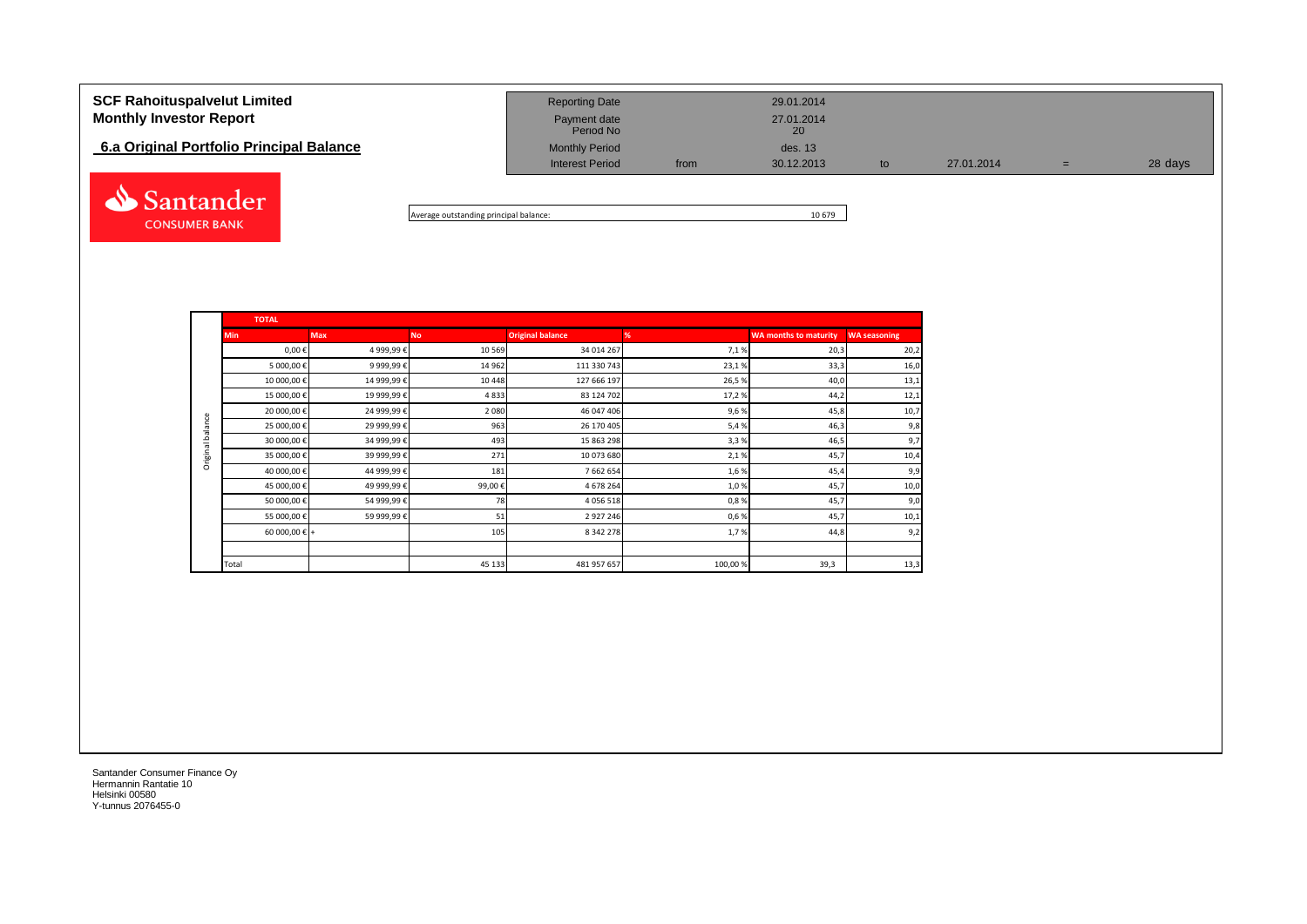| <b>SCF Rahoituspalvelut Limited</b><br><b>Monthly Investor Report</b> | <b>Reporting Date</b><br>Payment date<br>Period No |      | 29.01.2014<br>27.01.2014<br>20 |    |            |   |         |
|-----------------------------------------------------------------------|----------------------------------------------------|------|--------------------------------|----|------------|---|---------|
| 6.a Original Portfolio Principal Balance                              | <b>Monthly Period</b><br><b>Interest Period</b>    | from | des. 13<br>30.12.2013          | to | 27.01.2014 | = | 28 days |
| Santander (                                                           |                                                    |      |                                |    |            |   |         |

Average outstanding principal balance: 10 679

|                  | <b>TOTAL</b>           |             |           |                         |         |                              |                     |
|------------------|------------------------|-------------|-----------|-------------------------|---------|------------------------------|---------------------|
|                  | <b>Min</b>             | <b>Max</b>  | <b>No</b> | <b>Original balance</b> | %       | <b>WA months to maturity</b> | <b>WA seasoning</b> |
|                  | $0,00 \in$             | 4 999,99€   | 10 5 69   | 34 014 267              | 7,1%    | 20,3                         | 20,2                |
|                  | 5 000,00 €             | 9 999,99€   | 14 962    | 111 330 743             | 23,1%   | 33,3                         | 16,0                |
|                  | 10 000,00 €            | 14 999,99€  | 10 4 48   | 127 666 197             | 26,5%   | 40,0                         | 13,1                |
|                  | 15 000,00 €            | 19 999,99€  | 4833      | 83 124 702              | 17,2%   | 44,2                         | 12,1                |
|                  | 20 000,00 €            | 24 999,99 € | 2 0 8 0   | 46 047 406              | 9,6%    | 45,8                         | 10,7                |
| Original balance | 25 000,00€             | 29 999,99€  | 963       | 26 170 405              | 5,4%    | 46,3                         | 9,8                 |
|                  | 30 000,00 €            | 34 999,99 € | 493       | 15 863 298              | 3,3%    | 46,5                         | 9,7                 |
|                  | 35 000,00 €            | 39 999,99 € | 271       | 10 073 680              | 2,1%    | 45,7                         | 10,4                |
|                  | 40 000,00€             | 44 999,99€  | 181       | 7 662 654               | 1,6%    | 45,4                         | 9,9                 |
|                  | 45 000,00 €            | 49 999,99€  | 99,00€    | 4 678 264               | 1,0%    | 45,7                         | 10,0                |
|                  | 50 000,00 €            | 54 999,99€  | 78        | 4 0 5 6 5 1 8           | 0,8%    | 45,7                         | 9,0                 |
|                  | 55 000,00 €            | 59 999,99€  | 51        | 2 9 2 7 2 4 6           | 0,6%    | 45,7                         | 10,1                |
|                  | 60 000,00 $\epsilon$ + |             | 105       | 8 3 4 2 2 7 8           | 1,7%    | 44,8                         | 9,2                 |
|                  |                        |             |           |                         |         |                              |                     |
|                  | Total                  |             | 45 133    | 481 957 657             | 100,00% | 39,3                         | 13,3                |

Santander Consumer Finance Oy Hermannin Rantatie 10 Helsinki 00580 Y-tunnus 2076455-0

**CONSUMER BANK**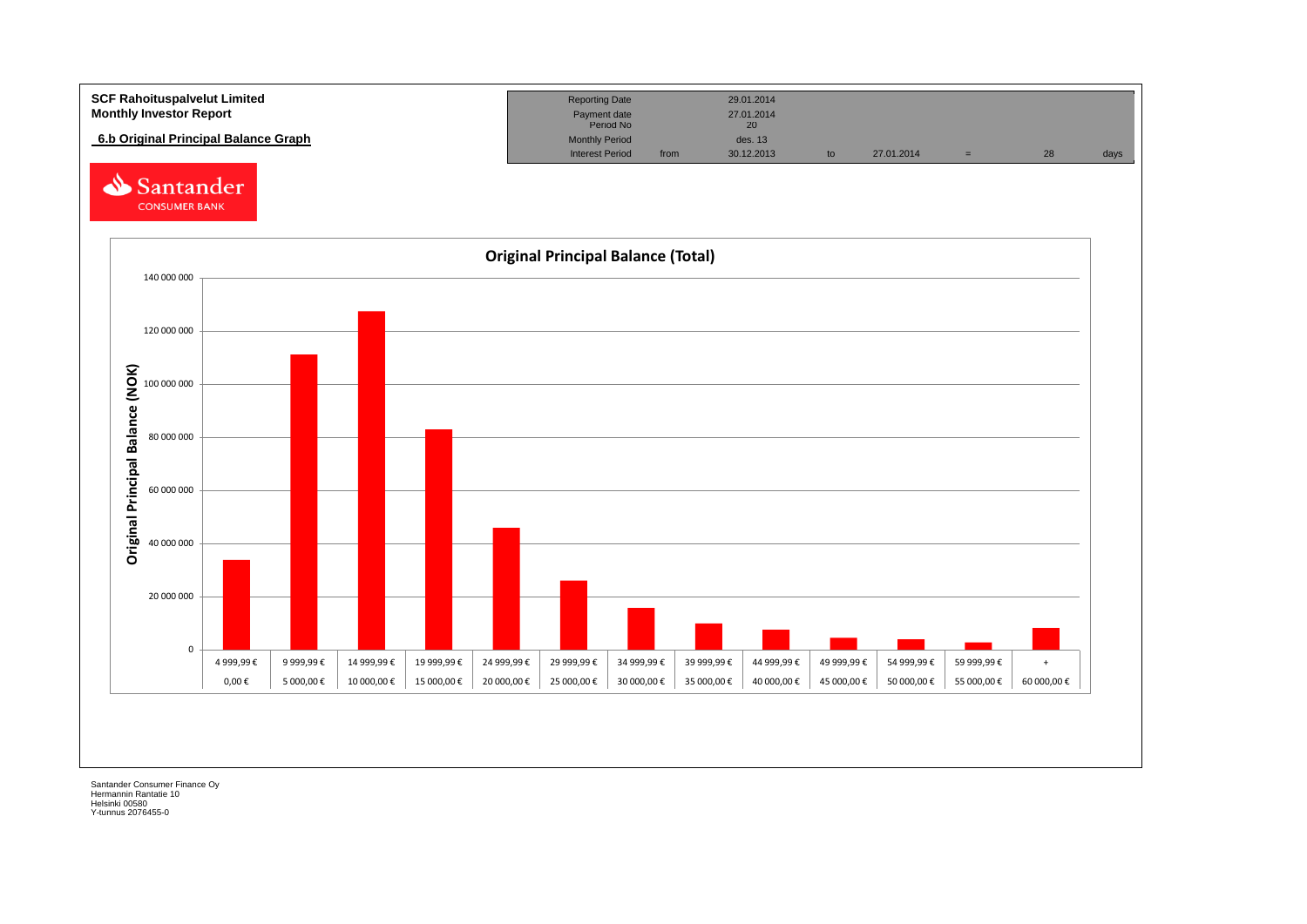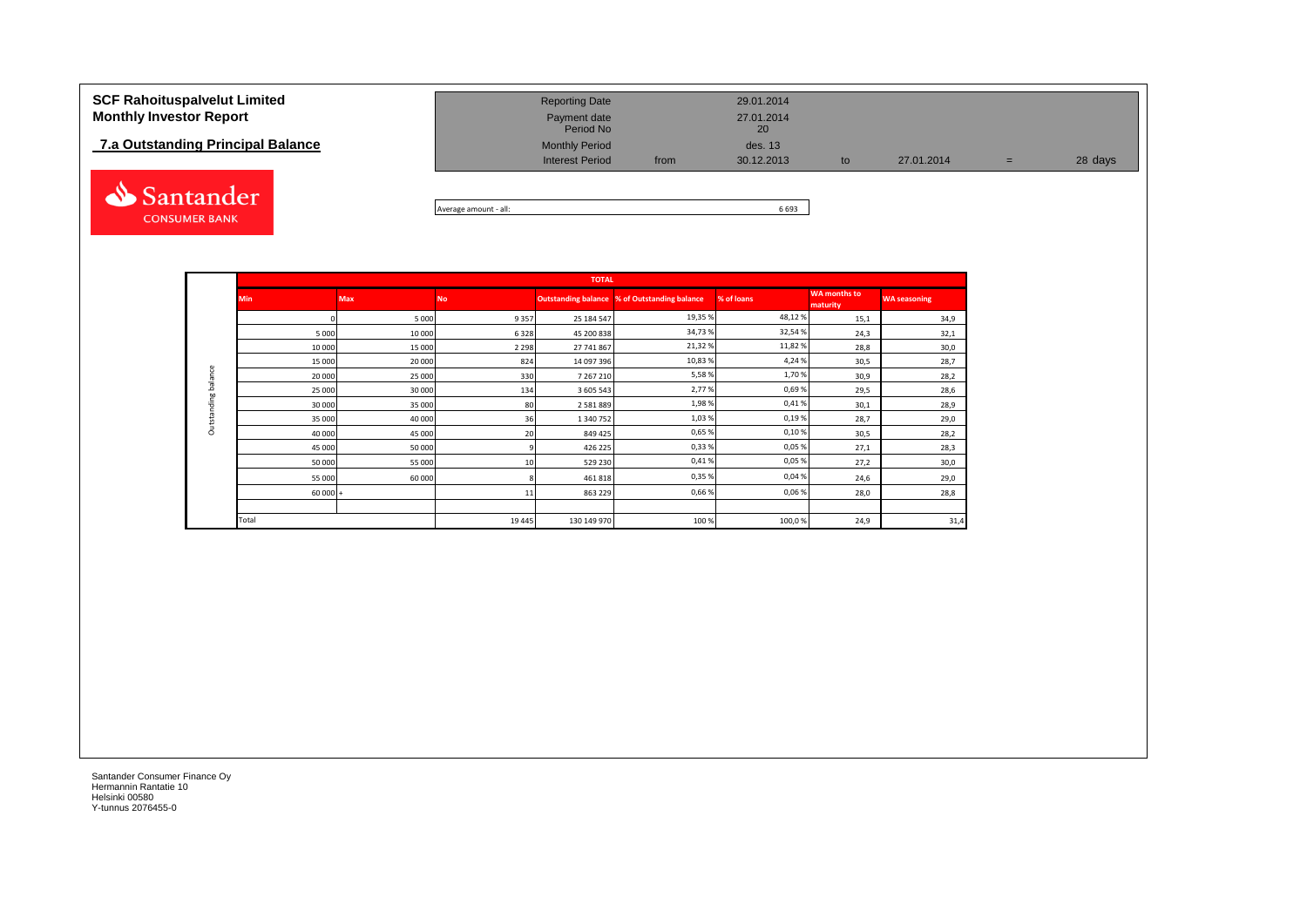## **7.a Outstanding Principal Balance**



| <b>SCF Rahoituspalvelut Limited</b> | <b>Reporting Date</b>     |      | 29.01.2014       |    |            |     |         |
|-------------------------------------|---------------------------|------|------------------|----|------------|-----|---------|
| <b>Monthly Investor Report</b>      | Payment date<br>Period No |      | 27.01.2014<br>20 |    |            |     |         |
| 7.a Outstanding Principal Balance   | <b>Monthly Period</b>     |      | des. 13          |    |            |     |         |
|                                     | <b>Interest Period</b>    | from | 30.12.2013       | to | 27.01.2014 | $=$ | 28 days |

Average amount - all: 6 693

|             |            |            |           | <b>TOTAL</b>  |                                              |            |                                 |                     |
|-------------|------------|------------|-----------|---------------|----------------------------------------------|------------|---------------------------------|---------------------|
|             | <b>Min</b> | <b>Max</b> | <b>No</b> |               | Outstanding balance % of Outstanding balance | % of loans | <b>WA</b> months to<br>maturity | <b>WA seasoning</b> |
|             |            | 5 0 0 0    | 9357      | 25 184 547    | 19,35 %                                      | 48,12%     | 15,1                            | 34,9                |
|             | 5 0 0 0    | 10 000     | 6328      | 45 200 838    | 34,73%                                       | 32,54%     | 24,3                            | 32,1                |
|             | 10 000     | 15 000     | 2 2 9 8   | 27 741 867    | 21,32%                                       | 11,82%     | 28,8                            | 30,0                |
|             | 15 000     | 20 000     | 824       | 14 097 396    | 10,83%                                       | 4,24%      | 30,5                            | 28,7                |
| balance     | 20 000     | 25 000     | 330       | 7 267 210     | 5,58%                                        | 1,70%      | 30,9                            | 28,2                |
|             | 25 000     | 30 000     | 134       | 3 605 543     | 2,77%                                        | 0,69%      | 29,5                            | 28,6                |
|             | 30 000     | 35 000     | 80        | 2 5 8 1 8 8 9 | 1,98%                                        | 0,41%      | 30,1                            | 28,9                |
| Outstanding | 35 000     | 40 000     | 36        | 1 340 752     | 1,03%                                        | 0,19%      | 28,7                            | 29,0                |
|             | 40 000     | 45 000     | 20        | 849 425       | 0,65%                                        | 0,10%      | 30,5                            | 28,2                |
|             | 45 000     | 50 000     |           | 426 225       | 0,33%                                        | 0,05%      | 27,1                            | 28,3                |
|             | 50 000     | 55 000     | 10        | 529 230       | 0,41%                                        | 0,05%      | 27,2                            | 30,0                |
|             | 55 000     | 60 000     |           | 461 818       | 0,35%                                        | 0,04%      | 24,6                            | 29,0                |
|             | $60000 +$  |            | 11        | 863 229       | 0,66%                                        | 0,06%      | 28,0                            | 28,8                |
|             |            |            |           |               |                                              |            |                                 |                     |
|             | Total      |            | 19 4 45   | 130 149 970   | 100 %                                        | 100,0%     | 24,9                            | 31,4                |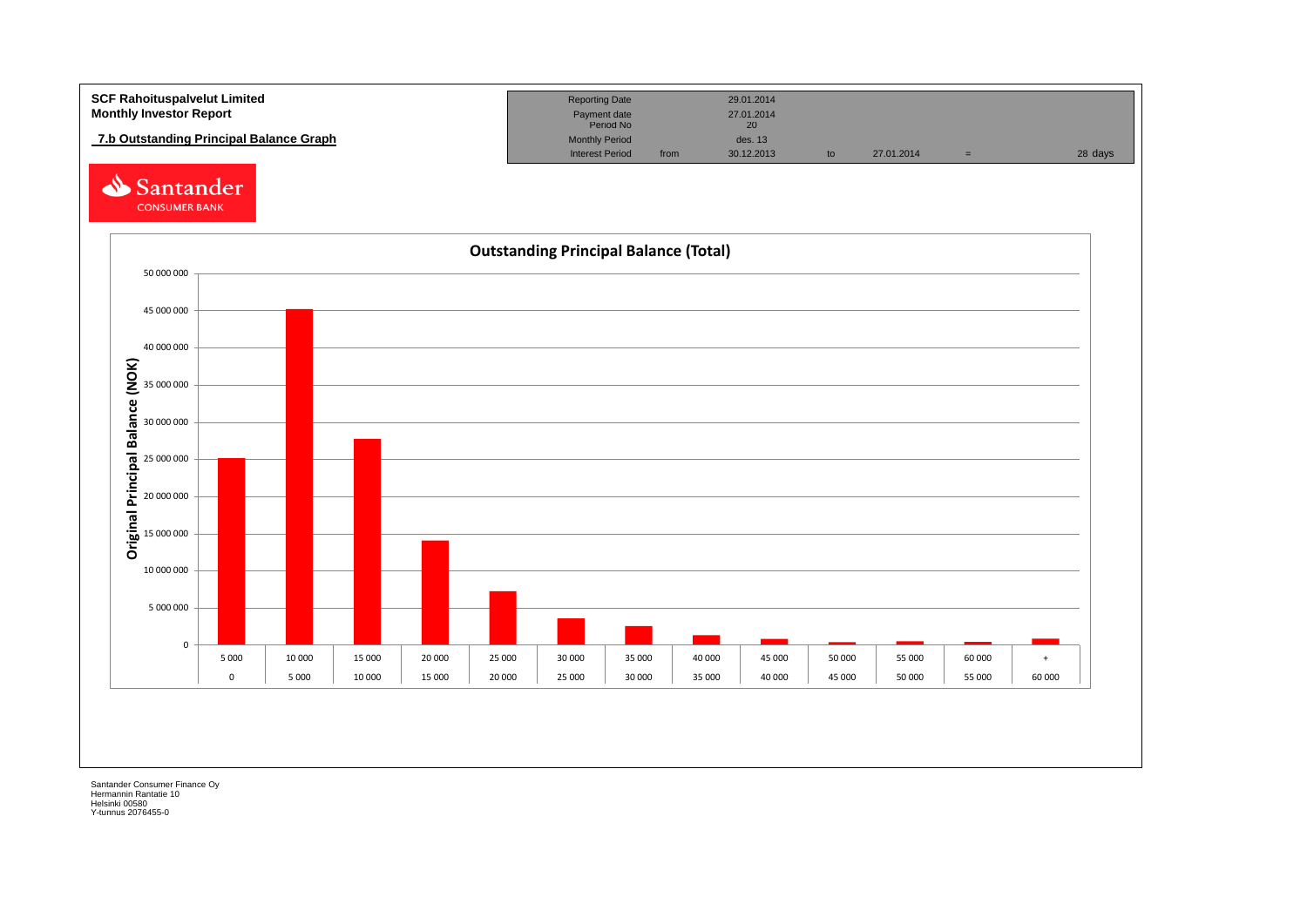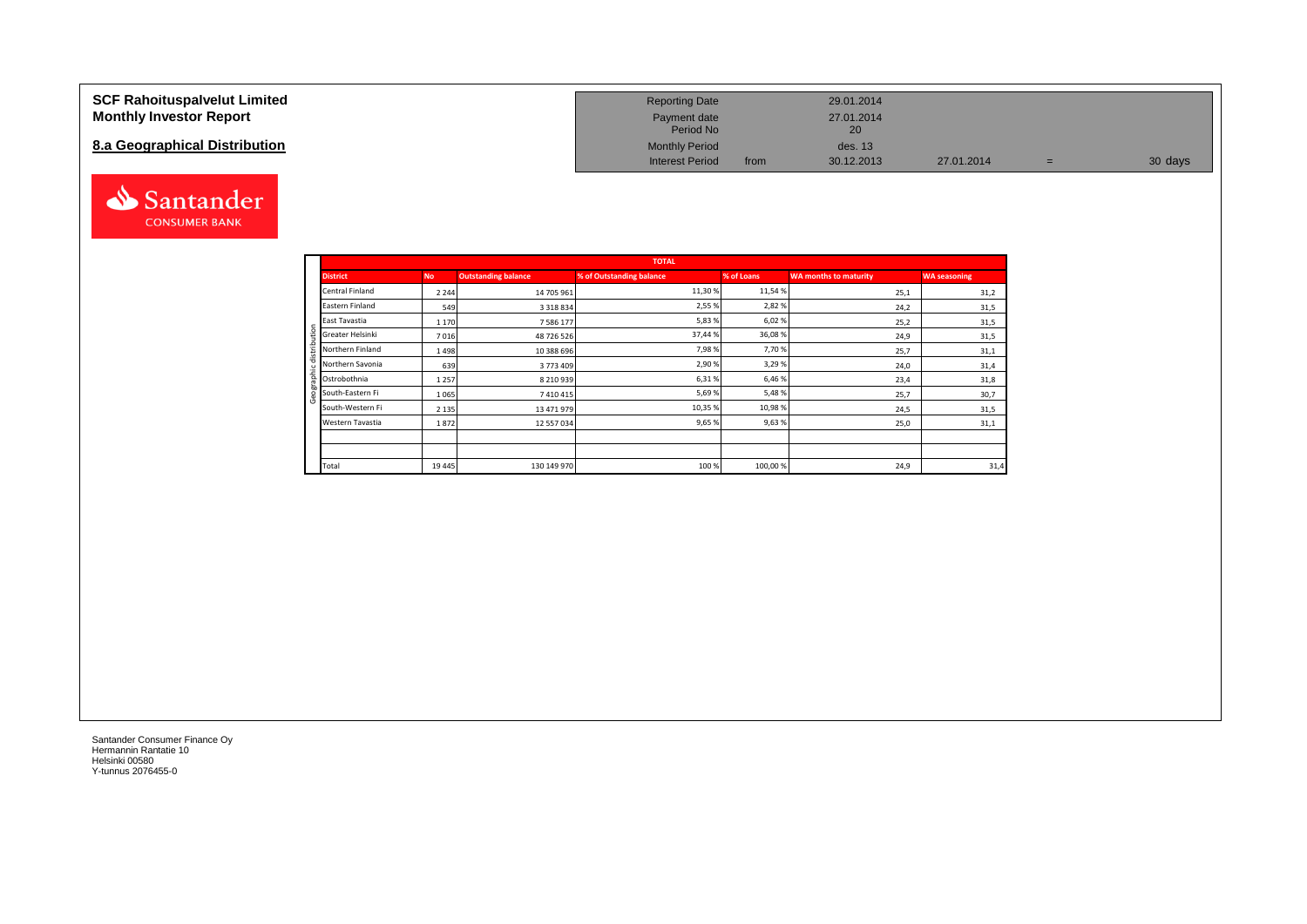## **SCF Rahoituspalvelut Limited Monthly Investor Report**

## **8.a Geographical Distribution**



| <b>Reporting Date</b>     |      | 29.01.2014       |            |   |         |
|---------------------------|------|------------------|------------|---|---------|
| Payment date<br>Period No |      | 27.01.2014<br>20 |            |   |         |
| <b>Monthly Period</b>     |      | des. 13          |            |   |         |
| <b>Interest Period</b>    | from | 30.12.2013       | 27.01.2014 | = | 30 days |

|                       |         |                     | <b>TOTAL</b>             |            |                              |                     |
|-----------------------|---------|---------------------|--------------------------|------------|------------------------------|---------------------|
| <b>District</b>       | No.     | Outstanding balance | % of Outstanding balance | % of Loans | <b>WA months to maturity</b> | <b>WA seasoning</b> |
| Central Finland       | 2 2 4 4 | 14 705 961          | 11,30%                   | 11,54 %    | 25,1                         | 31,2                |
| Eastern Finland       | 549     | 3 3 1 8 8 3 4       | 2,55 %                   | 2,82%      | 24,2                         | 31,5                |
| East Tavastia         | 1 1 7 0 | 7 586 177           | 5,83%                    | 6,02%      | 25,2                         | 31,5                |
| Greater Helsinki<br>÷ | 7016    | 48 726 526          | 37,44 %                  | 36,08%     | 24,9                         | 31,5                |
| Northern Finland      | 1498    | 10 388 696          | 7,98%                    | 7,70%      | 25,7                         | 31,1                |
| Northern Savonia      | 639     | 3773409             | 2,90%                    | 3,29%      | 24,0                         | 31,4                |
| Ostrobothnia          | 1 2 5 7 | 8 2 10 9 39         | 6,31%                    | 6,46%      | 23,4                         | 31,8                |
| South-Eastern Fi      | 1 0 6 5 | 7410415             | 5,69%                    | 5,48%      | 25,7                         | 30,7                |
| South-Western Fi      | 2 1 3 5 | 13 471 979          | 10,35 %                  | 10,98%     | 24,5                         | 31,5                |
| Western Tavastia      | 1872    | 12 557 034          | 9,65%                    | 9,63%      | 25,0                         | 31,1                |
|                       |         |                     |                          |            |                              |                     |
|                       |         |                     |                          |            |                              |                     |
| Total                 | 19 4 45 | 130 149 970         | 100 %                    | 100,00%    | 24,9                         | 31,4                |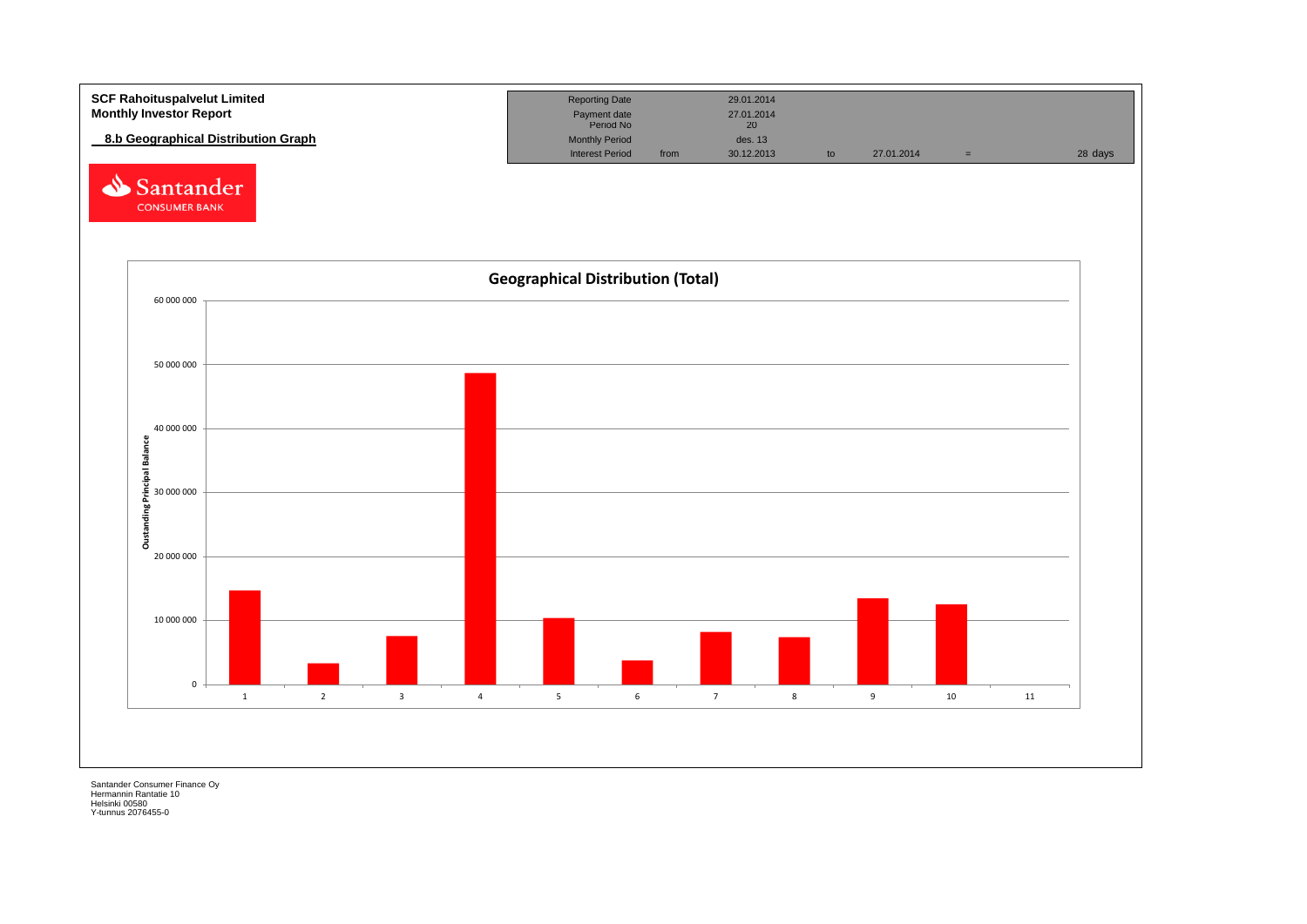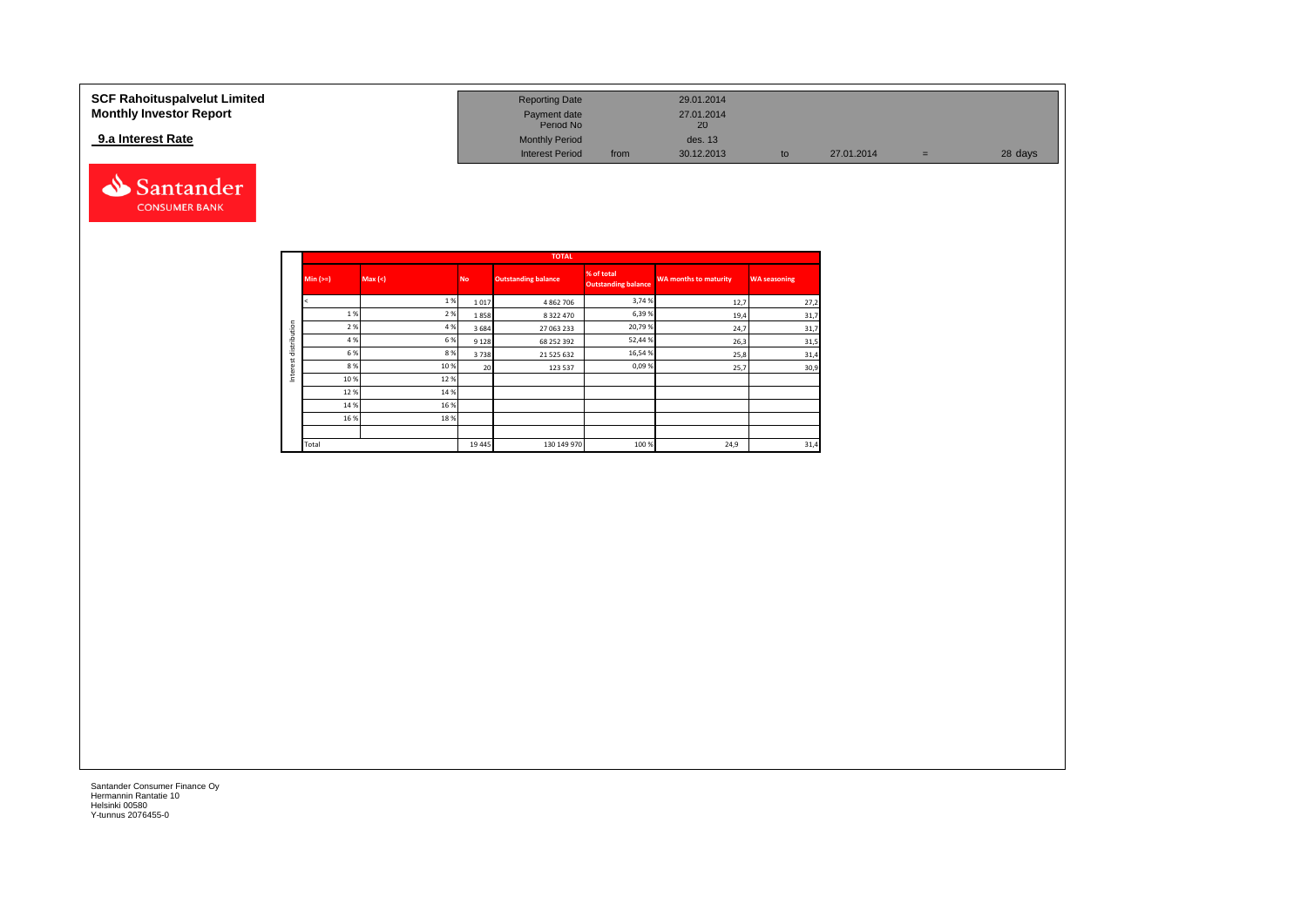### **SCF Rahoituspalvelut Limited Reporting Date 29.01.2014 Reporting Date 29.01.2014 Monthly Investor Report Payment date** 27.01.2014 Payment date 27.01.2014<br>Period No 20 **9.a Interest Rate** des. 13<br> **19.2.2013 Interest Period** des. 13<br> **19.2.2013 Interest Period** from 30.12.2013 Interest Period from 30.12.2013 to 27.01.2014 = 28 days



|              |            |         |           | <b>TOTAL</b>               |                                          |                              |                     |
|--------------|------------|---------|-----------|----------------------------|------------------------------------------|------------------------------|---------------------|
|              | $Min (==)$ | Max (<) | <b>No</b> | <b>Outstanding balance</b> | % of total<br><b>Outstanding balance</b> | <b>WA months to maturity</b> | <b>WA seasoning</b> |
|              |            | 1%      | 1017      | 4 862 706                  | 3,74 %                                   | 12,7                         | 27,2                |
|              | 1%         | 2%      | 1858      | 8 3 2 2 4 7 0              | 6,39%                                    | 19,4                         | 31,7                |
| distribution | 2 %        | 4 %     | 3684      | 27 063 233                 | 20,79%                                   | 24,7                         | 31,7                |
|              | 4 %        | 6%      | 9 1 2 8   | 68 252 392                 | 52,44%                                   | 26,3                         | 31,5                |
|              | 6 %        | 8%      | 3738      | 21 525 632                 | 16,54%                                   | 25,8                         | 31,4                |
| ă            | 8%         | 10%     | 20        | 123 537                    | 0,09%                                    | 25,7                         | 30,9                |
| Inter        | 10%        | 12%     |           |                            |                                          |                              |                     |
|              | 12%        | 14 %    |           |                            |                                          |                              |                     |
|              | 14 %       | 16 %    |           |                            |                                          |                              |                     |
|              | 16%        | 18%     |           |                            |                                          |                              |                     |
|              |            |         |           |                            |                                          |                              |                     |
|              | Total      |         | 19 4 45   | 130 149 970                | 100 %                                    | 24,9                         | 31,4                |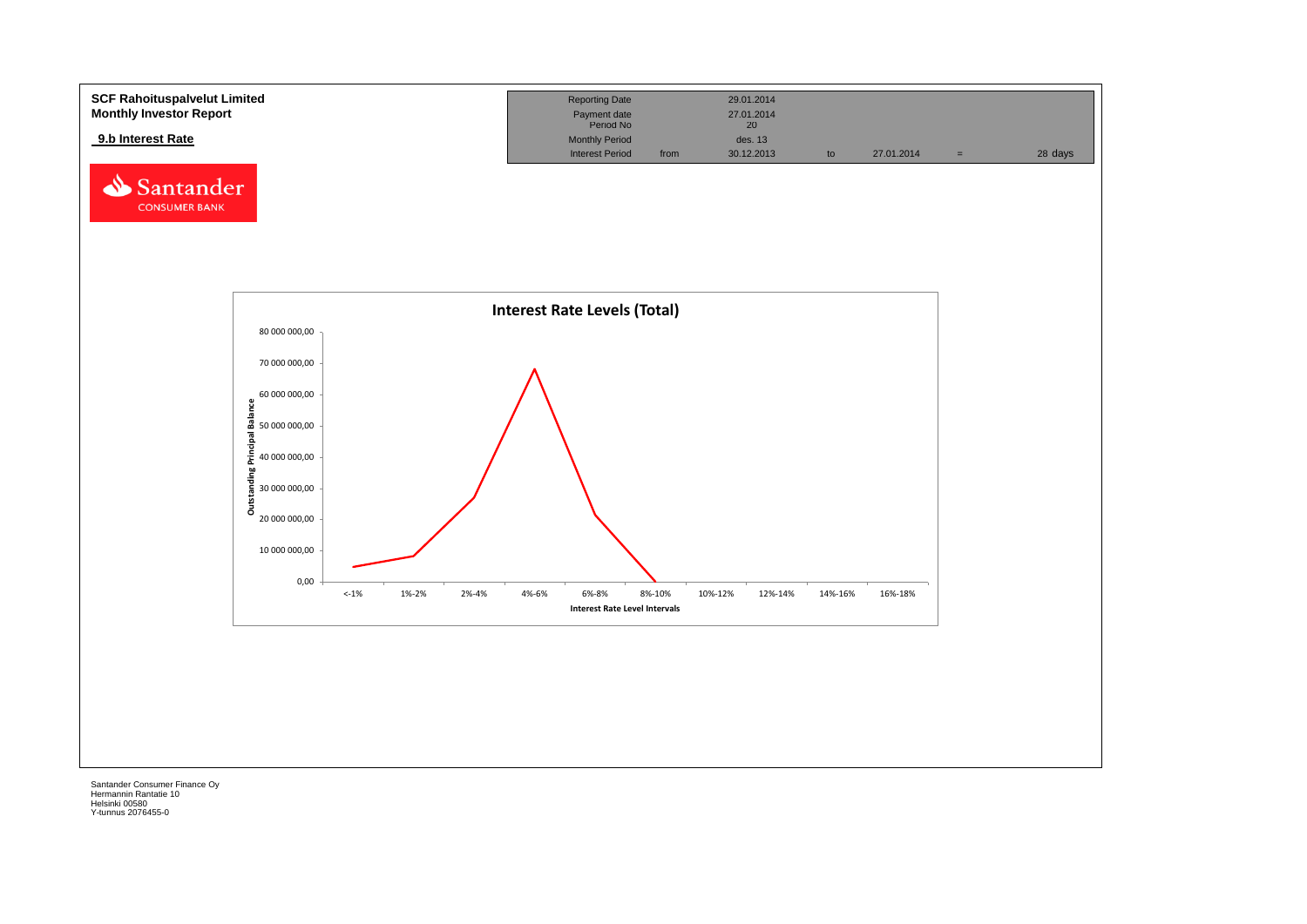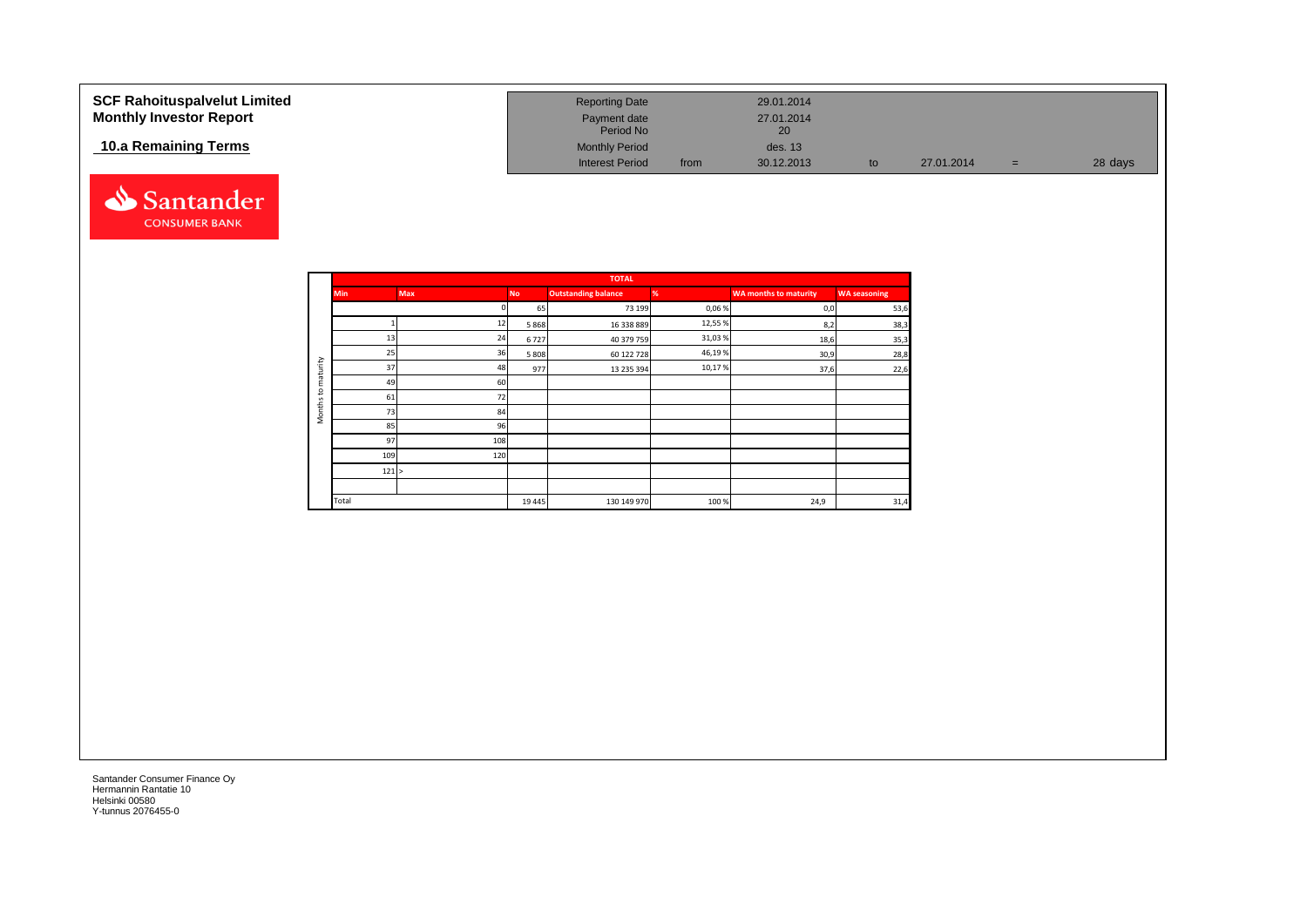| <b>SCF Rahoituspalvelut Limited</b><br><b>Monthly Investor Report</b> | <b>Reporting Date</b><br>Payment date<br>Period No |      | 29.01.2014<br>27.01.2014<br>20 |    |            |     |         |
|-----------------------------------------------------------------------|----------------------------------------------------|------|--------------------------------|----|------------|-----|---------|
| 10.a Remaining Terms                                                  | <b>Monthly Period</b><br><b>Interest Period</b>    | from | des. 13<br>30.12.2013          | to | 27.01.2014 | $=$ | 28 days |



|                     |            |            |           | <b>TOTAL</b>               |        |                              |                     |
|---------------------|------------|------------|-----------|----------------------------|--------|------------------------------|---------------------|
|                     | <b>Min</b> | <b>Max</b> | <b>No</b> | <b>Outstanding balance</b> | %      | <b>WA months to maturity</b> | <b>WA seasoning</b> |
|                     |            |            | 65        | 73 199                     | 0,06%  | 0,0                          | 53,6                |
|                     |            | 12         | 5868      | 16 338 889                 | 12,55% | 8,2                          | 38,3                |
|                     | 13         | 24         | 6727      | 40 379 759                 | 31,03% | 18,6                         | 35,3                |
|                     | 25         | 36         | 5 8 0 8   | 60 122 728                 | 46,19% | 30,9                         | 28,8                |
| maturity            | 37         | 48         | 977       | 13 235 394                 | 10,17% | 37,6                         | 22,6                |
|                     | 49         | 60         |           |                            |        |                              |                     |
| 5                   | 61         | 72         |           |                            |        |                              |                     |
| Months <sup>-</sup> | 73         | 84         |           |                            |        |                              |                     |
|                     | 85         | 96         |           |                            |        |                              |                     |
|                     | 97         | 108        |           |                            |        |                              |                     |
|                     | 109        | 120        |           |                            |        |                              |                     |
|                     | 121 >      |            |           |                            |        |                              |                     |
|                     |            |            |           |                            |        |                              |                     |
|                     | Total      |            | 19 4 45   | 130 149 970                | 100%   | 24,9                         | 31,4                |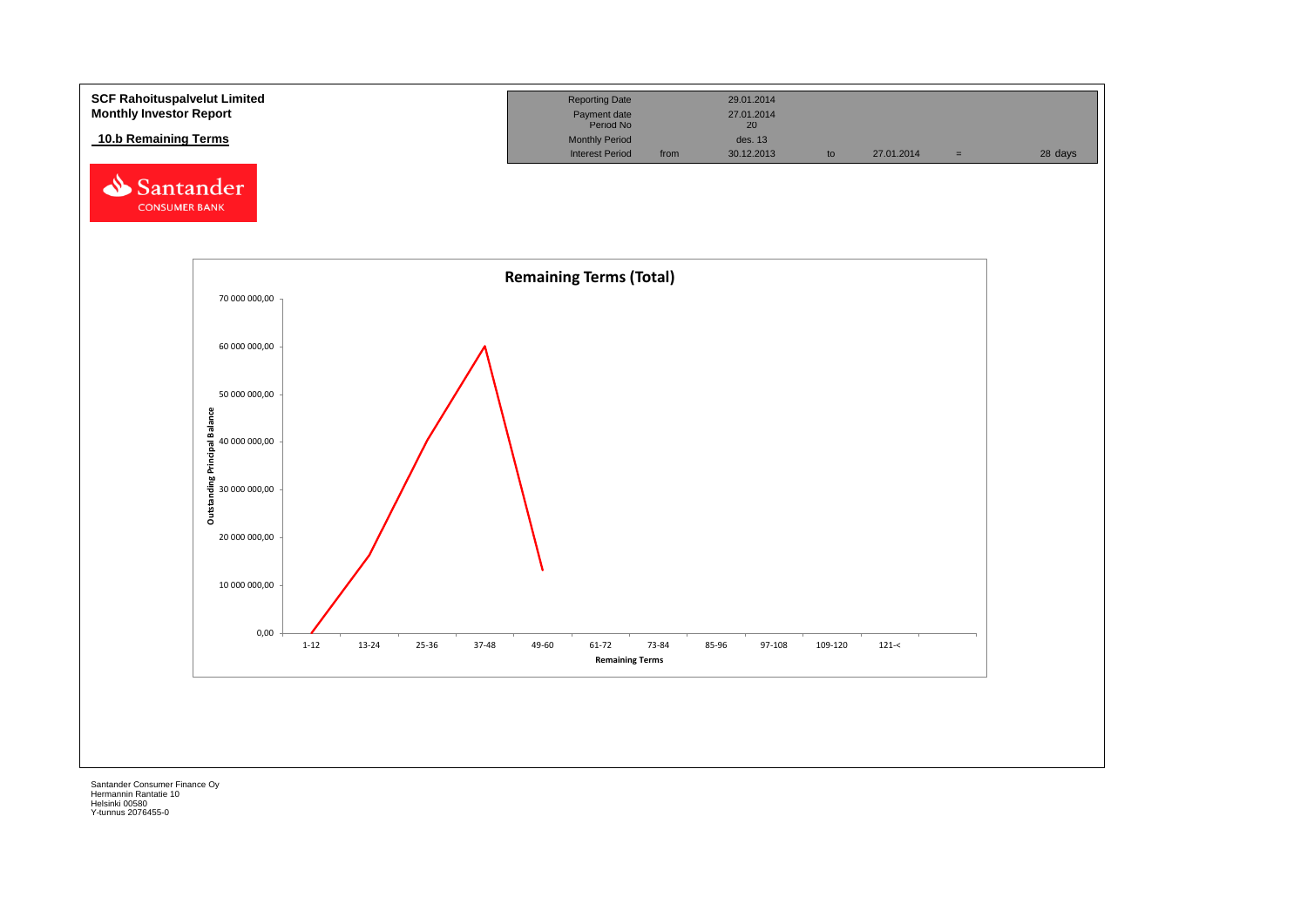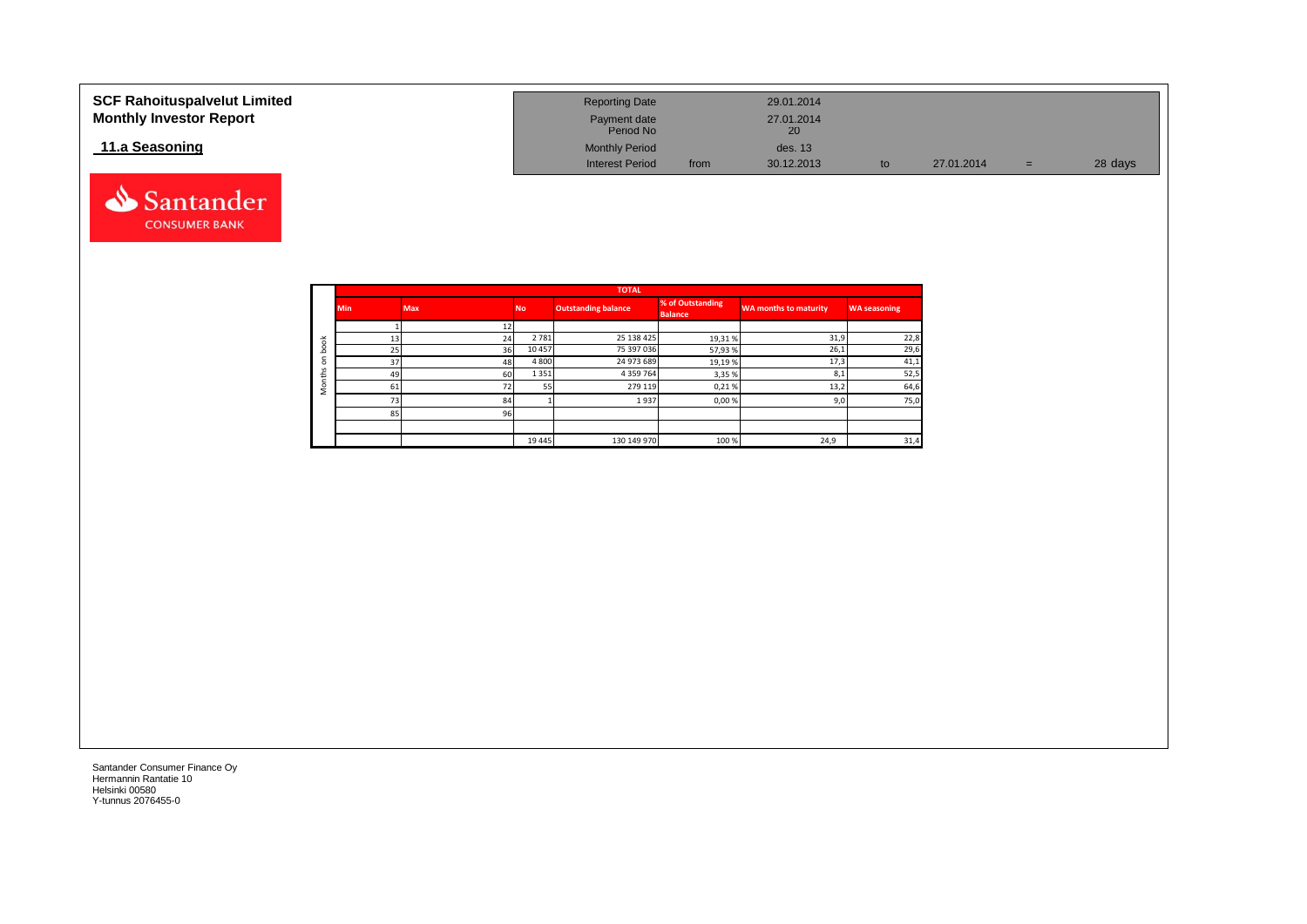| <b>SCF Rahoituspalvelut Limited</b><br><b>Monthly Investor Report</b> | <b>Reporting Date</b><br>Payment date<br>Period No |      | 29.01.2014<br>27.01.2014<br>20 |    |            |     |         |
|-----------------------------------------------------------------------|----------------------------------------------------|------|--------------------------------|----|------------|-----|---------|
| 11.a Seasoning                                                        | <b>Monthly Period</b>                              |      | des. 13                        |    |            |     |         |
|                                                                       | <b>Interest Period</b>                             | from | 30.12.2013                     | to | 27.01.2014 | $=$ | 28 days |



Santander **CONSUMER BANK**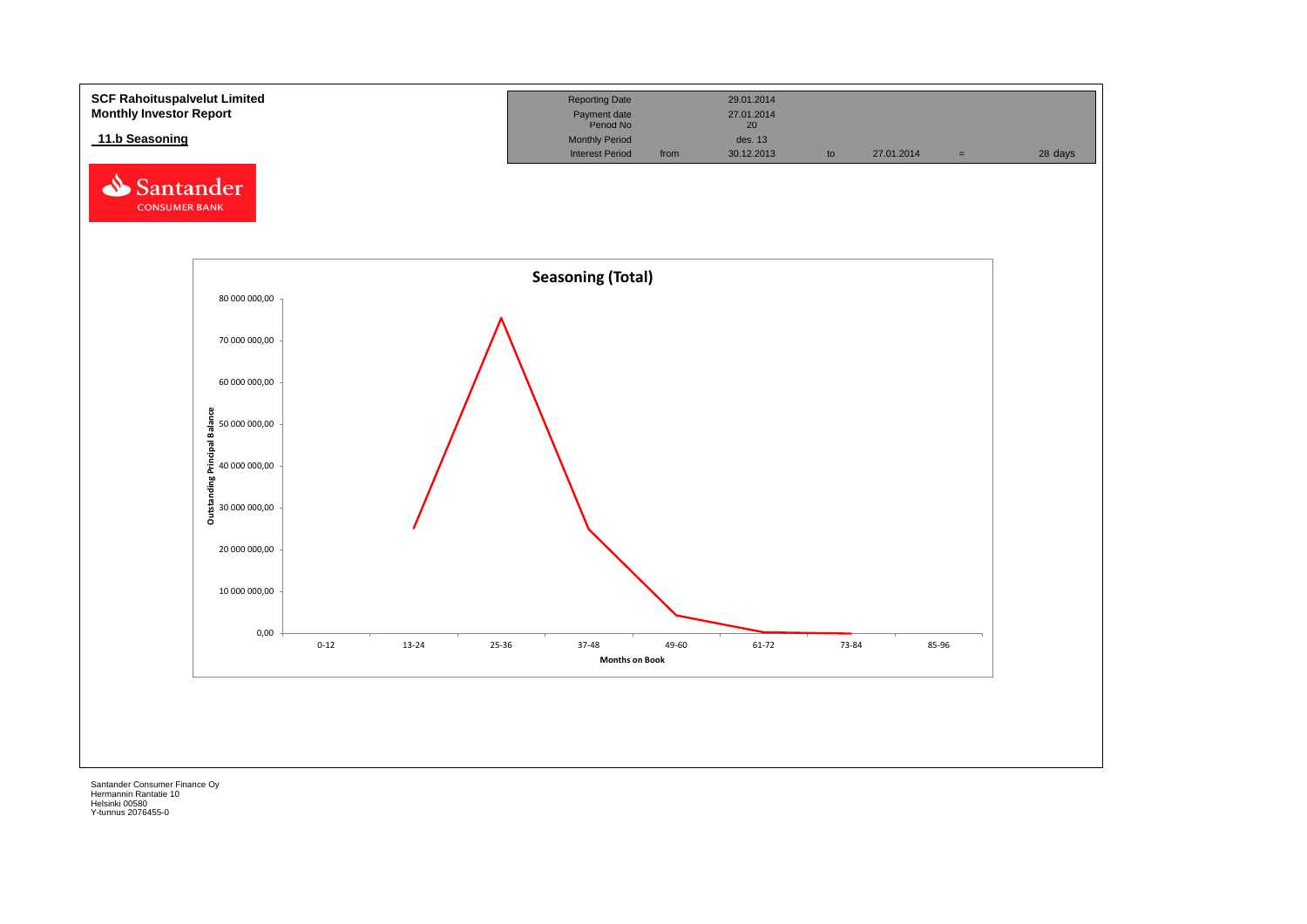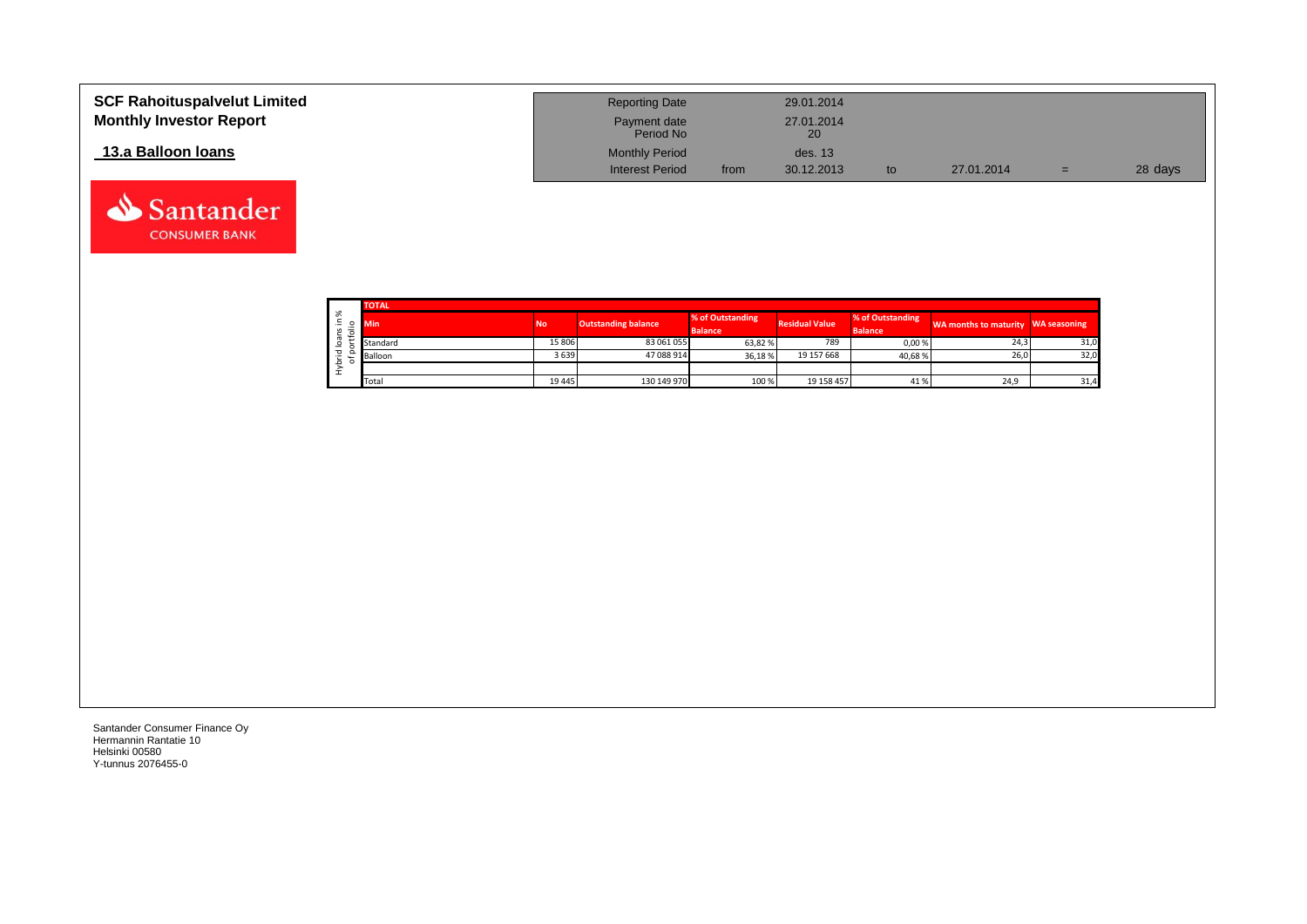| <b>SCF Rahoituspalvelut Limited</b><br><b>Monthly Investor Report</b> | <b>Reporting Date</b><br>Payment date<br>Period No |      | 29.01.2014<br>27.01.2014<br>20 |    |            |     |         |
|-----------------------------------------------------------------------|----------------------------------------------------|------|--------------------------------|----|------------|-----|---------|
| 13.a Balloon Ioans                                                    | <b>Monthly Period</b>                              |      | des. 13                        |    |            |     |         |
|                                                                       | <b>Interest Period</b>                             | from | 30.12.2013                     | to | 27.01.2014 | $=$ | 28 days |

|              | <b>TOTAL</b> |         |                            |                                    |                       |                                    |                                    |      |
|--------------|--------------|---------|----------------------------|------------------------------------|-----------------------|------------------------------------|------------------------------------|------|
| ్య<br>$\sim$ | Min          | No      | <b>Outstanding balance</b> | % of Outstanding<br><b>Balance</b> | <b>Residual Value</b> | % of Outstanding<br><b>Balance</b> | WA months to maturity WA seasoning |      |
|              | Standard     | 15 806  | 83 061 055                 | 63,82 %                            | 789                   | 0,00%                              | 24,3                               | 31,0 |
| ▿            | Balloon      | 3639    | 47 088 914                 | 36.18%                             | 19 157 668            | 40,68%                             | 26,0                               | 32,0 |
|              |              |         |                            |                                    |                       |                                    |                                    |      |
|              | Total        | 19 4 45 | 130 149 970                | 100 %                              | 19 158 457            | 41%                                | 24,9                               | 31,4 |

Santander **CONSUMER BANK**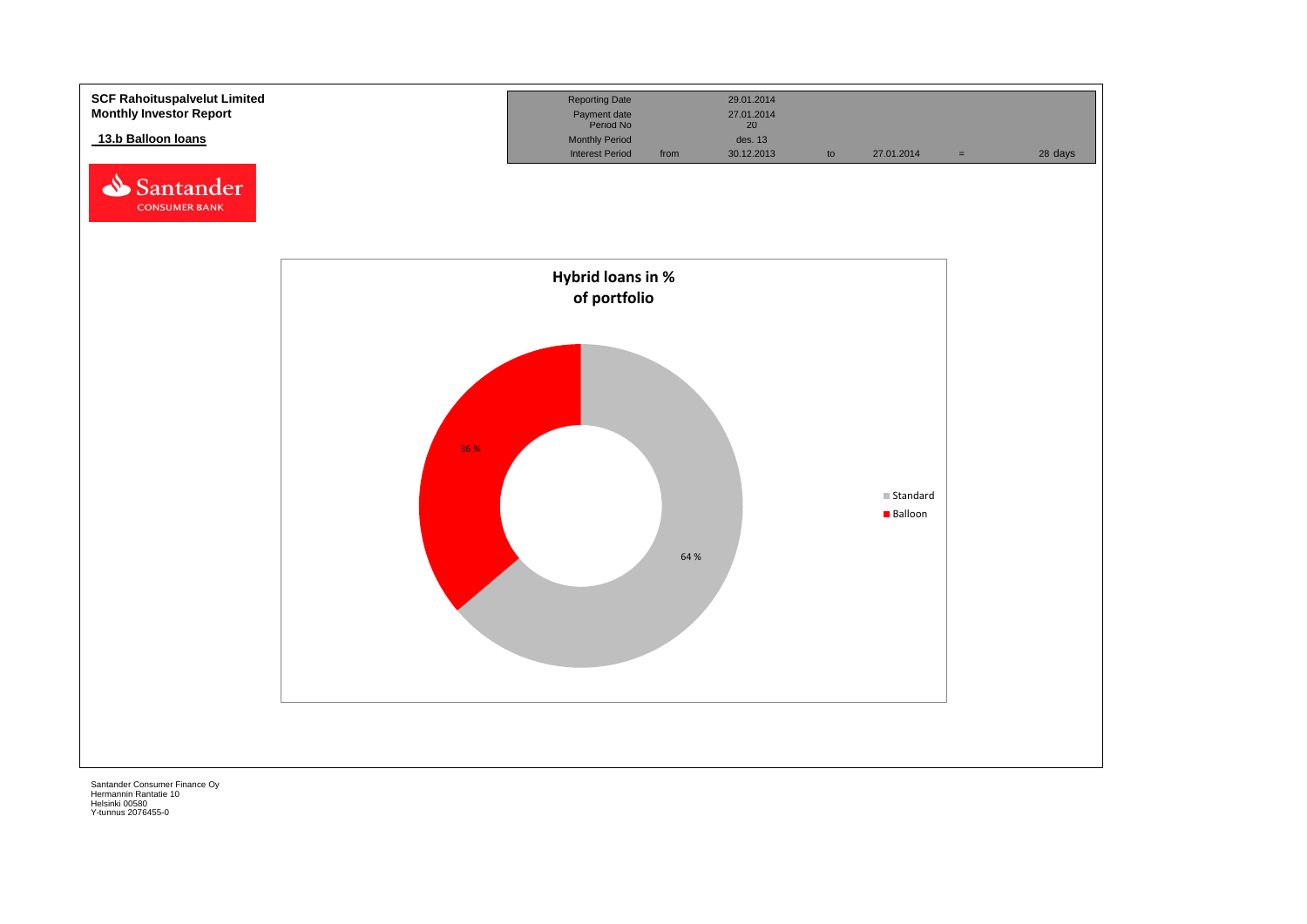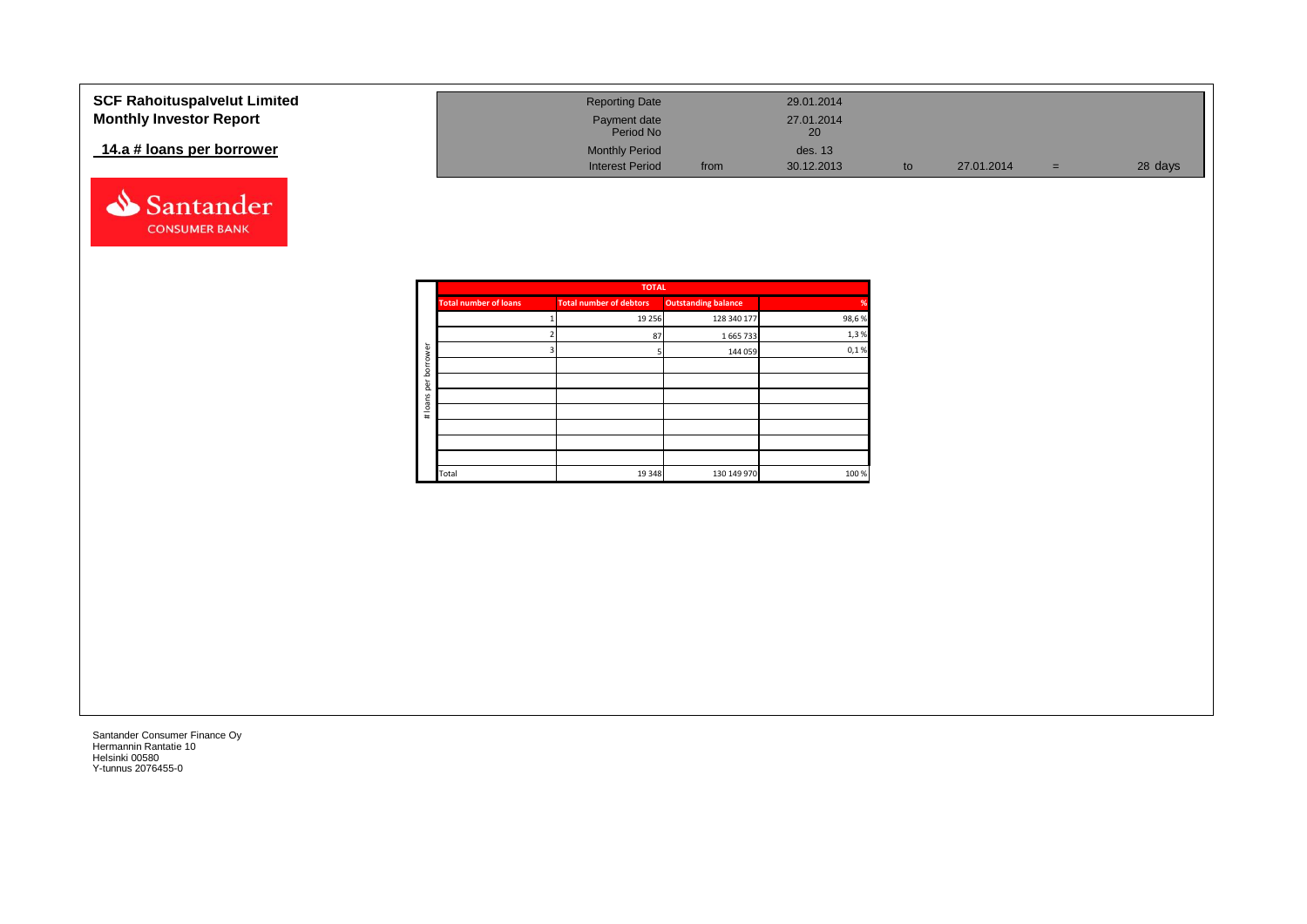| <b>SCF Rahoituspalvelut Limited</b> | <b>Reporting Date</b>     |      | 29.01.2014       |            |     |         |
|-------------------------------------|---------------------------|------|------------------|------------|-----|---------|
| <b>Monthly Investor Report</b>      | Payment date<br>Period No |      | 27.01.2014<br>20 |            |     |         |
| 14.a # loans per borrower           | <b>Monthly Period</b>     |      | des. 13          |            |     |         |
|                                     | <b>Interest Period</b>    | from | 30.12.2013       | 27.01.2014 | $=$ | 28 days |



|       |                            | <b>TOTAL</b>                   |                              |               |
|-------|----------------------------|--------------------------------|------------------------------|---------------|
| %     | <b>Outstanding balance</b> | <b>Total number of debtors</b> | <b>Total number of loans</b> |               |
| 98,6% | 128 340 177                | 19 25 6                        |                              |               |
| 1,3%  | 1 665 733                  | 87                             |                              |               |
| 0,1%  | 144 059                    |                                |                              | rower         |
|       |                            |                                |                              | bor           |
|       |                            |                                |                              | per           |
|       |                            |                                |                              |               |
|       |                            |                                |                              | loans<br>$\#$ |
|       |                            |                                |                              |               |
|       |                            |                                |                              |               |
|       |                            |                                |                              |               |
| 100 % | 130 149 970                | 19 348                         | Total                        |               |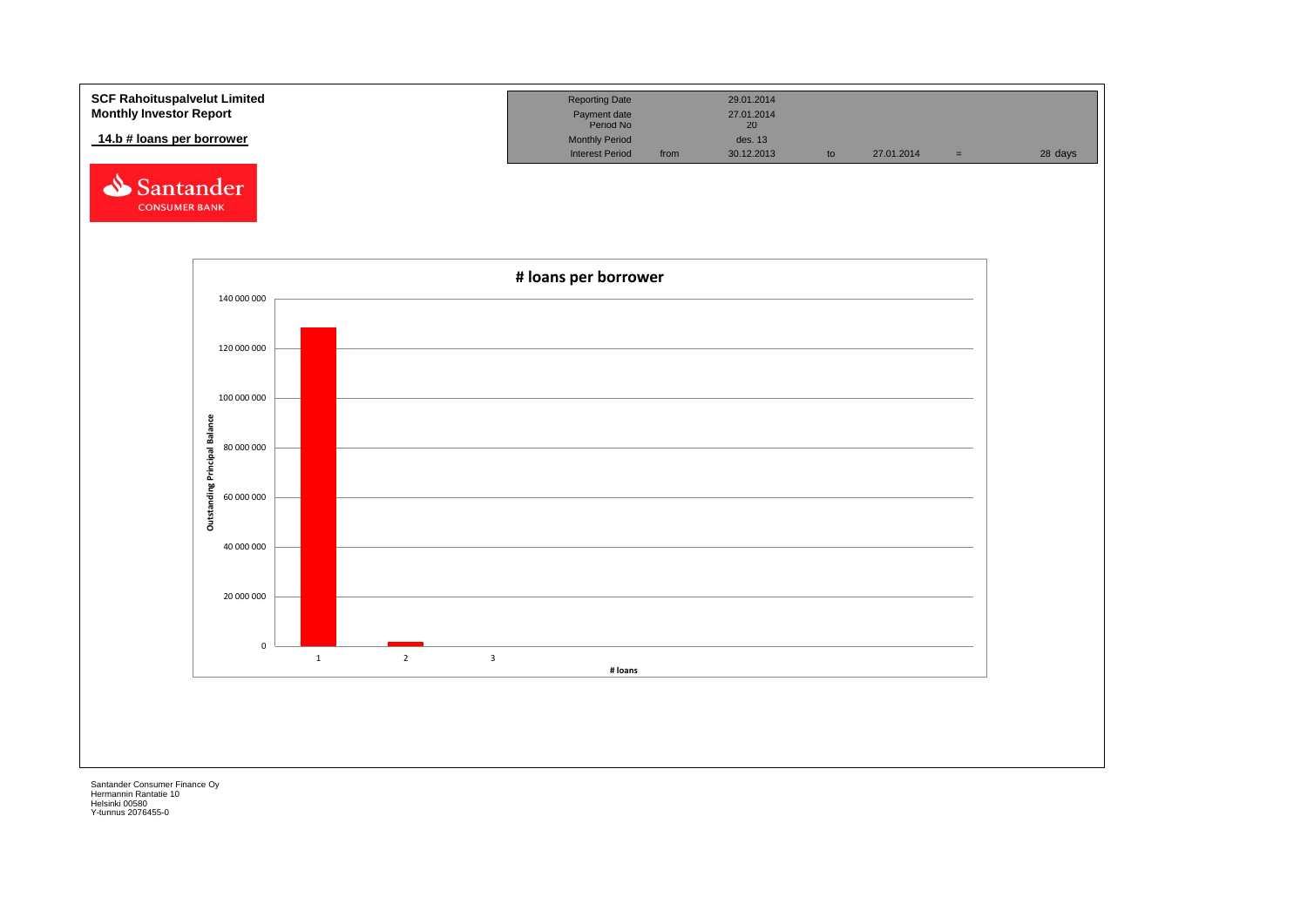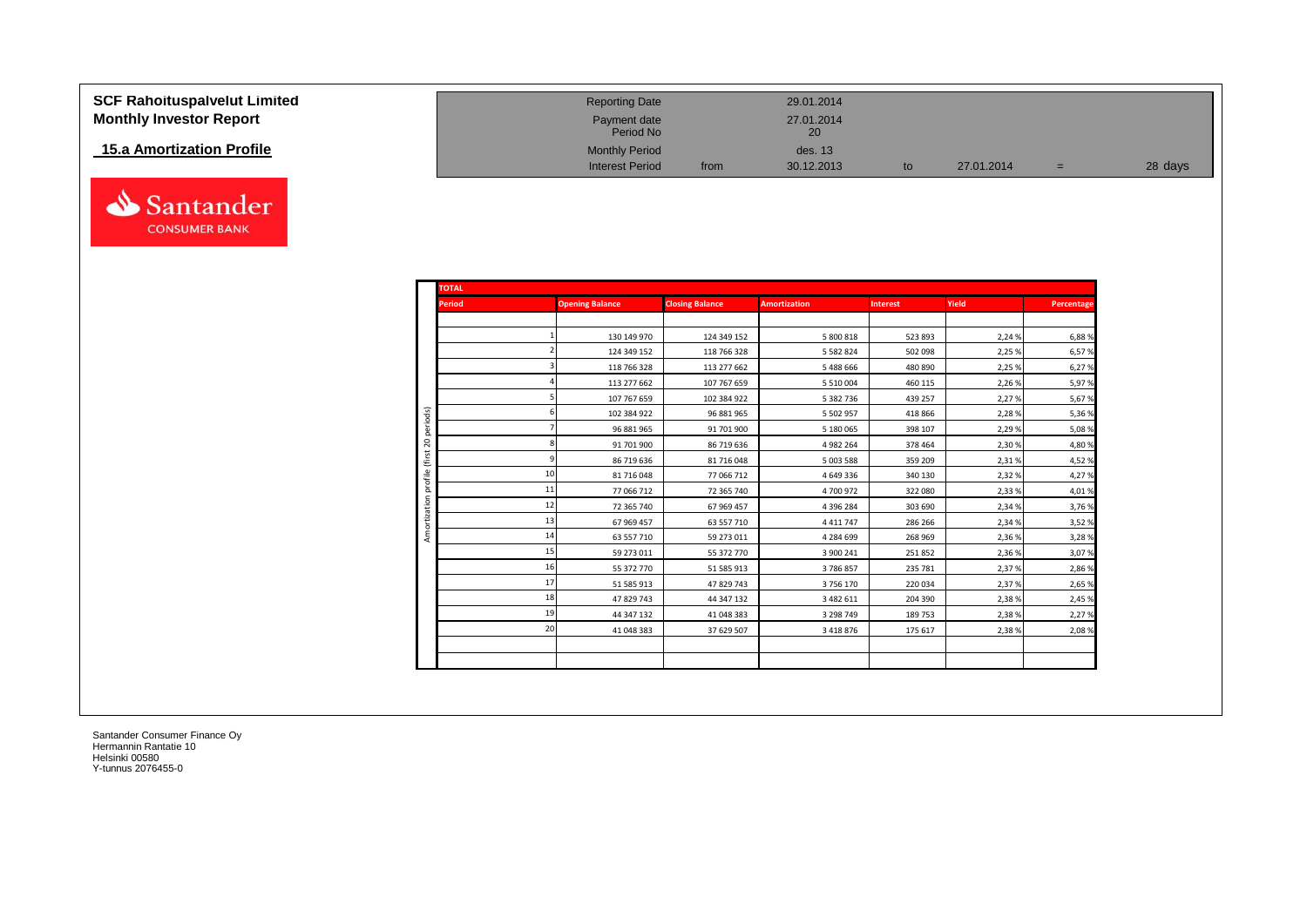| <b>SCF Rahoituspalvelut Limited</b> |
|-------------------------------------|
| <b>Monthly Investor Report</b>      |

## **15.a Amortization Profile**



| <b>SCF Rahoituspalvelut Limited</b> | <b>Reporting Date</b>     |      | 29.01.2014                    |            |     |         |
|-------------------------------------|---------------------------|------|-------------------------------|------------|-----|---------|
| <b>Monthly Investor Report</b>      | Payment date<br>Period No |      | 27.01.2014<br>20 <sub>1</sub> |            |     |         |
| 15.a Amortization Profile           | <b>Monthly Period</b>     |      | des. 13                       |            |     |         |
|                                     | <b>Interest Period</b>    | from | 30.12.2013                    | 27.01.2014 | $=$ | 28 days |

| <b>TOTAL</b>               |    |                        |                        |                     |                 |        |            |
|----------------------------|----|------------------------|------------------------|---------------------|-----------------|--------|------------|
| <b>Period</b>              |    | <b>Opening Balance</b> | <b>Closing Balance</b> | <b>Amortization</b> | <b>Interest</b> | Yield  | Percentage |
|                            |    |                        |                        |                     |                 |        |            |
|                            |    | 130 149 970            | 124 349 152            | 5 800 818           | 523 893         | 2,24 % | 6,88%      |
|                            |    | 124 349 152            | 118 766 328            | 5 5 8 2 8 2 4       | 502 098         | 2,25 % | 6,57%      |
|                            |    | 118 766 328            | 113 277 662            | 5488666             | 480 890         | 2,25 % | 6,27%      |
|                            |    | 113 277 662            | 107 767 659            | 5 5 10 0 0 4        | 460 115         | 2,26 % | 5,97%      |
|                            |    | 107 767 659            | 102 384 922            | 5 382 736           | 439 257         | 2,27 % | 5,67%      |
|                            |    | 102 384 922            | 96 881 965             | 5 5 0 2 9 5 7       | 418 866         | 2,28%  | 5,36%      |
| iods)<br>ē<br>$\mathsf{S}$ |    | 96 881 965             | 91 701 900             | 5 180 065           | 398 107         | 2,29 % | 5,08%      |
|                            |    | 91 701 900             | 86 719 636             | 4982264             | 378 464         | 2,30 % | 4,80%      |
|                            |    | 86 719 636             | 81 716 048             | 5 003 588           | 359 209         | 2,31%  | 4,52%      |
|                            | 10 | 81 716 048             | 77 066 712             | 4649336             | 340 130         | 2,32 % | 4,27%      |
|                            | 11 | 77 066 712             | 72 365 740             | 4700972             | 322 080         | 2,33 % | 4,01%      |
|                            | 12 | 72 365 740             | 67 969 457             | 4 3 9 6 2 8 4       | 303 690         | 2,34 % | 3,76%      |
|                            | 13 | 67 969 457             | 63 557 710             | 4411747             | 286 266         | 2,34 % | 3,52%      |
|                            | 14 | 63 557 710             | 59 273 011             | 4 284 699           | 268 969         | 2,36 % | 3,28%      |
|                            | 15 | 59 273 011             | 55 372 770             | 3 900 241           | 251 852         | 2,36 % | 3,07%      |
|                            | 16 | 55 372 770             | 51 585 913             | 3786857             | 235 781         | 2,37 % | 2,86%      |
|                            | 17 | 51 585 913             | 47 829 743             | 3756170             | 220 034         | 2,37 % | 2,65%      |
|                            | 18 | 47 829 743             | 44 347 132             | 3 482 611           | 204 390         | 2,38%  | 2,45%      |
|                            | 19 | 44 347 132             | 41 048 383             | 3 298 749           | 189 753         | 2,38%  | 2,27%      |
|                            | 20 | 41 048 383             | 37 629 507             | 3 4 1 8 8 7 6       | 175 617         | 2,38 % | 2,08%      |
|                            |    |                        |                        |                     |                 |        |            |
|                            |    |                        |                        |                     |                 |        |            |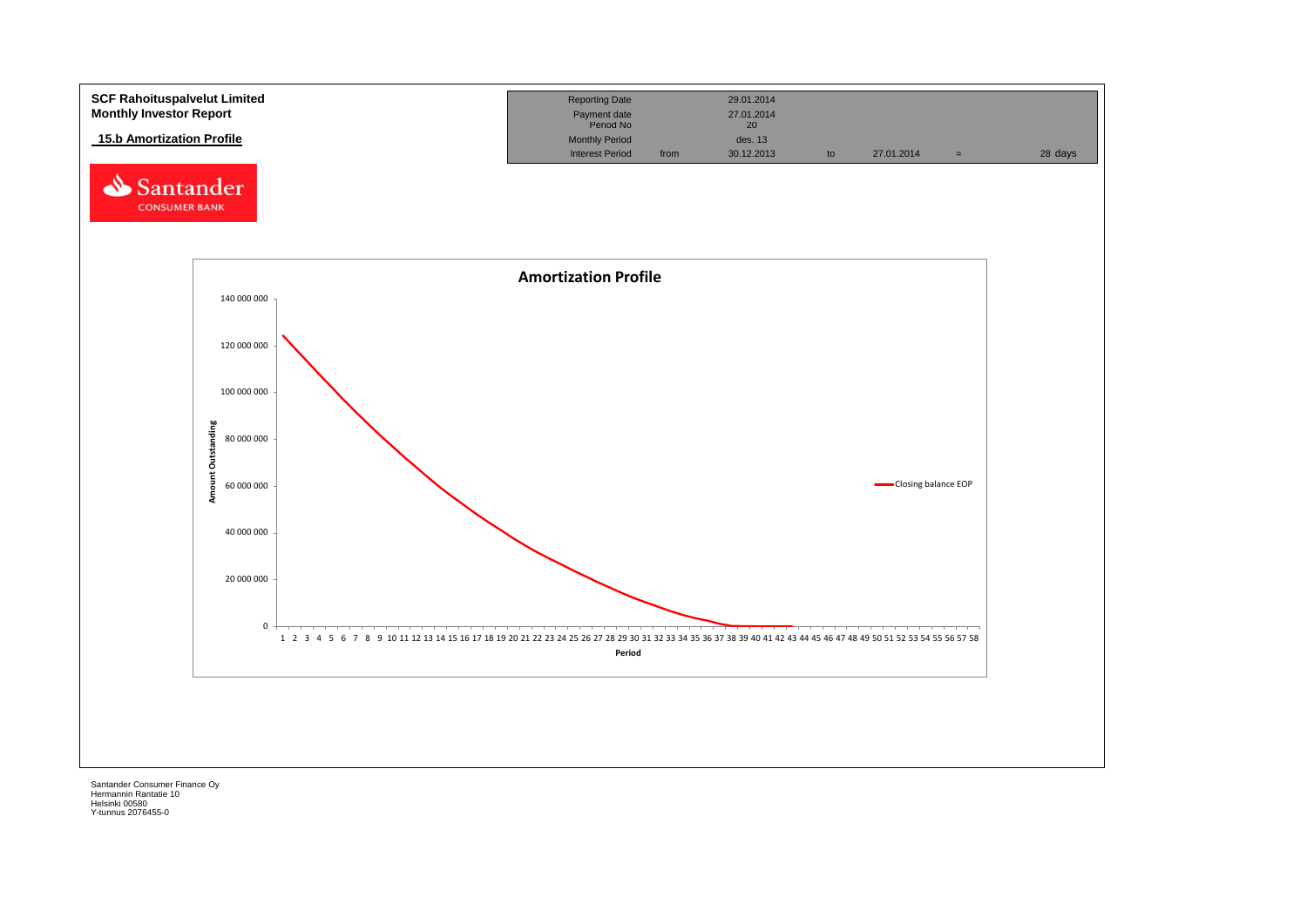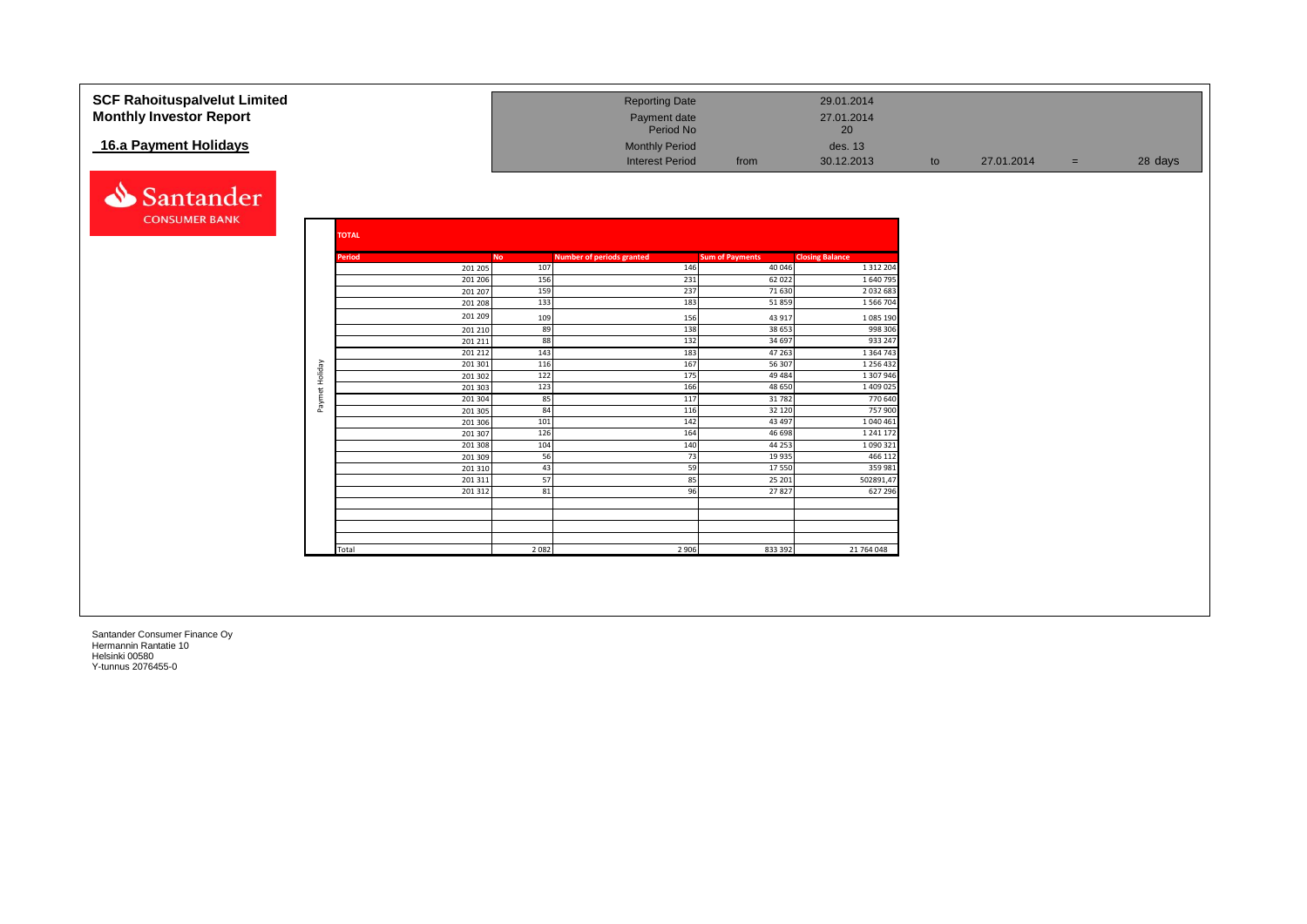| <b>SCF Rahoituspalvelut Limited</b> |                |              |                    |            | <b>Reporting Date</b>            |                        | 29.01.2014               |    |            |     |         |
|-------------------------------------|----------------|--------------|--------------------|------------|----------------------------------|------------------------|--------------------------|----|------------|-----|---------|
| <b>Monthly Investor Report</b>      |                |              |                    |            | Payment date<br>Period No        |                        | 27.01.2014<br>20         |    |            |     |         |
| 16.a Payment Holidays               |                |              |                    |            | <b>Monthly Period</b>            |                        | des. 13                  |    |            |     |         |
|                                     |                |              |                    |            | <b>Interest Period</b>           | from                   | 30.12.2013               | to | 27.01.2014 | $=$ | 28 days |
| Santander                           |                |              |                    |            |                                  |                        |                          |    |            |     |         |
| <b>CONSUMER BANK</b>                |                | <b>TOTAL</b> |                    |            |                                  |                        |                          |    |            |     |         |
|                                     |                | Period       | No                 |            | <b>Number of periods granted</b> | <b>Sum of Payments</b> | <b>Closing Balance</b>   |    |            |     |         |
|                                     |                |              | 201 205            | 107        | 146                              |                        | 40 046<br>1 3 1 2 2 0 4  |    |            |     |         |
|                                     |                |              | 201 206            | 156        | 231                              | 62 0 22                | 1640795                  |    |            |     |         |
|                                     |                |              | 201 207<br>201 208 | 159<br>133 | 237<br>183                       | 71 630<br>51859        | 2032683<br>1 566 704     |    |            |     |         |
|                                     |                |              | 201 209            |            |                                  |                        |                          |    |            |     |         |
|                                     |                |              | 201 210            | 109<br>89  | 156<br>138                       | 43 917<br>38 653       | 1 085 190<br>998 306     |    |            |     |         |
|                                     |                |              | 201 211            | 88         | 132                              | 34 697                 | 933 247                  |    |            |     |         |
|                                     |                |              | 201 212            | 143        | 183                              | 47 263                 | 1 3 6 4 7 4 3            |    |            |     |         |
|                                     |                |              | 201 301            | 116        | 167                              | 56 307                 | 1 256 432                |    |            |     |         |
|                                     |                |              | 201 302            | 122        | 175                              | 49 4 84                | 1 307 946                |    |            |     |         |
|                                     | Paymet Holiday |              | 201 303<br>201 304 | 123<br>85  | 166<br>117                       | 48 650<br>31782        | 1 409 025<br>770 640     |    |            |     |         |
|                                     |                |              | 201 305            | 84         | 116                              | 32 120                 | 757 900                  |    |            |     |         |
|                                     |                |              | 201 306            | 101        | 142                              | 43 497                 | 1 040 461                |    |            |     |         |
|                                     |                |              | 201 307            | 126        | 164                              | 46 698                 | 1 241 172                |    |            |     |         |
|                                     |                |              | 201 308<br>201 309 | 104<br>56  | 140<br>73                        | 44 253<br>19 9 35      | 1 0 9 3 3 2 1<br>466 112 |    |            |     |         |
|                                     |                |              | 201 310            | 43         |                                  | 59<br>17550            | 359 981                  |    |            |     |         |
|                                     |                |              | 201 311            | 57         | 85                               | 25 201                 | 502891,47                |    |            |     |         |
|                                     |                |              | 201 312            | 81         | 96                               | 27827                  | 627 296                  |    |            |     |         |
|                                     |                |              |                    |            |                                  |                        |                          |    |            |     |         |
|                                     |                |              |                    |            |                                  |                        |                          |    |            |     |         |
|                                     |                |              |                    |            |                                  |                        |                          |    |            |     |         |
|                                     |                | Total        |                    | 2 0 8 2    | 2 9 0 6                          | 833 392                | 21 764 048               |    |            |     |         |
|                                     |                |              |                    |            |                                  |                        |                          |    |            |     |         |
|                                     |                |              |                    |            |                                  |                        |                          |    |            |     |         |
|                                     |                |              |                    |            |                                  |                        |                          |    |            |     |         |
|                                     |                |              |                    |            |                                  |                        |                          |    |            |     |         |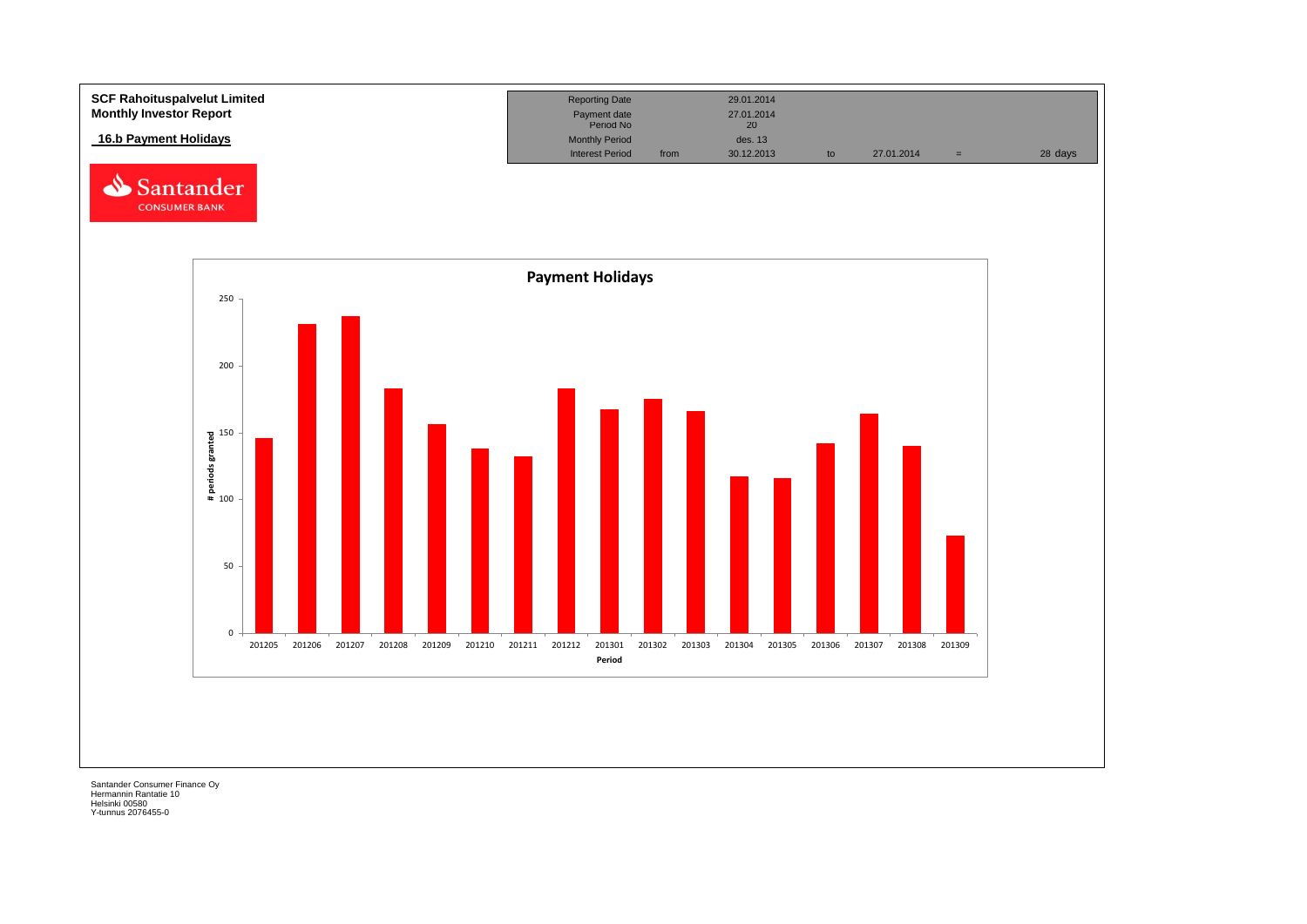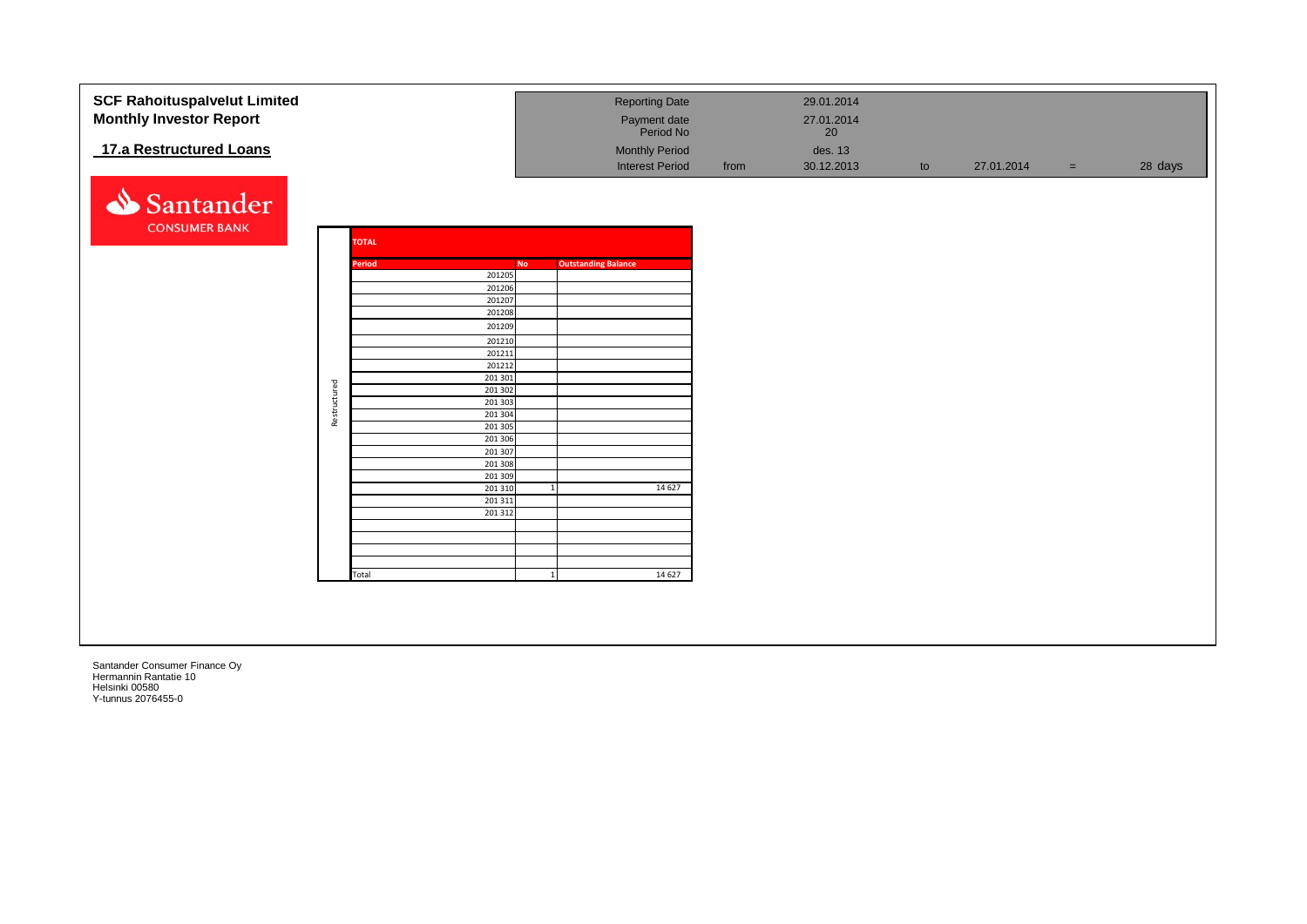| <b>SCF Rahoituspalvelut Limited</b> |              |              |                     | <b>Reporting Date</b>      |      | 29.01.2014 |    |            |     |         |
|-------------------------------------|--------------|--------------|---------------------|----------------------------|------|------------|----|------------|-----|---------|
| <b>Monthly Investor Report</b>      |              |              |                     | Payment date               |      | 27.01.2014 |    |            |     |         |
|                                     |              |              |                     | Period No                  |      | 20         |    |            |     |         |
| 17.a Restructured Loans             |              |              |                     | <b>Monthly Period</b>      |      | des. 13    |    |            |     |         |
|                                     |              |              |                     | <b>Interest Period</b>     | from | 30.12.2013 | to | 27.01.2014 | $=$ | 28 days |
|                                     |              |              |                     |                            |      |            |    |            |     |         |
|                                     |              |              |                     |                            |      |            |    |            |     |         |
| Santander                           |              |              |                     |                            |      |            |    |            |     |         |
| <b>CONSUMER BANK</b>                |              |              |                     |                            |      |            |    |            |     |         |
|                                     |              | <b>TOTAL</b> |                     |                            |      |            |    |            |     |         |
|                                     |              |              |                     |                            |      |            |    |            |     |         |
|                                     |              | Period       | <b>No</b><br>201205 | <b>Outstanding Balance</b> |      |            |    |            |     |         |
|                                     |              |              | 201206              |                            |      |            |    |            |     |         |
|                                     |              |              | 201207              |                            |      |            |    |            |     |         |
|                                     |              |              | 201208              |                            |      |            |    |            |     |         |
|                                     |              |              | 201209              |                            |      |            |    |            |     |         |
|                                     |              |              | 201210              |                            |      |            |    |            |     |         |
|                                     |              |              | 201211<br>201212    |                            |      |            |    |            |     |         |
|                                     |              |              | 201 301             |                            |      |            |    |            |     |         |
|                                     |              |              | 201 302             |                            |      |            |    |            |     |         |
|                                     | Restructured |              | 201 303             |                            |      |            |    |            |     |         |
|                                     |              |              | 201 304             |                            |      |            |    |            |     |         |
|                                     |              |              | 201 305<br>201 306  |                            |      |            |    |            |     |         |
|                                     |              |              | 201 307             |                            |      |            |    |            |     |         |
|                                     |              |              | 201 308             |                            |      |            |    |            |     |         |
|                                     |              |              | 201 309             |                            |      |            |    |            |     |         |
|                                     |              |              | 201 310<br>201 311  | 14 6 27                    |      |            |    |            |     |         |
|                                     |              |              | 201 312             |                            |      |            |    |            |     |         |
|                                     |              |              |                     |                            |      |            |    |            |     |         |
|                                     |              |              |                     |                            |      |            |    |            |     |         |
|                                     |              |              |                     |                            |      |            |    |            |     |         |
|                                     |              | Total        |                     | 14 6 27                    |      |            |    |            |     |         |
|                                     |              |              |                     |                            |      |            |    |            |     |         |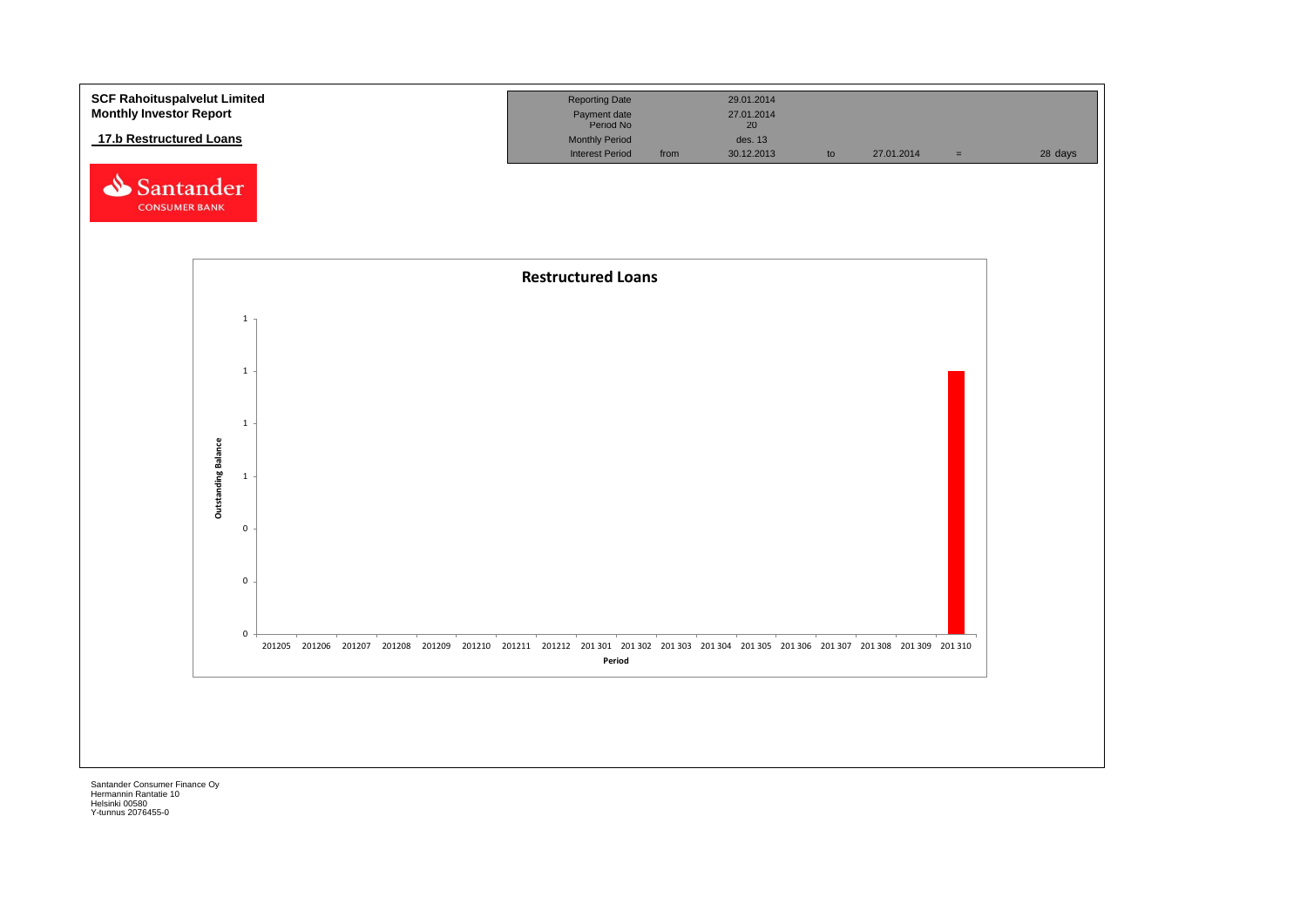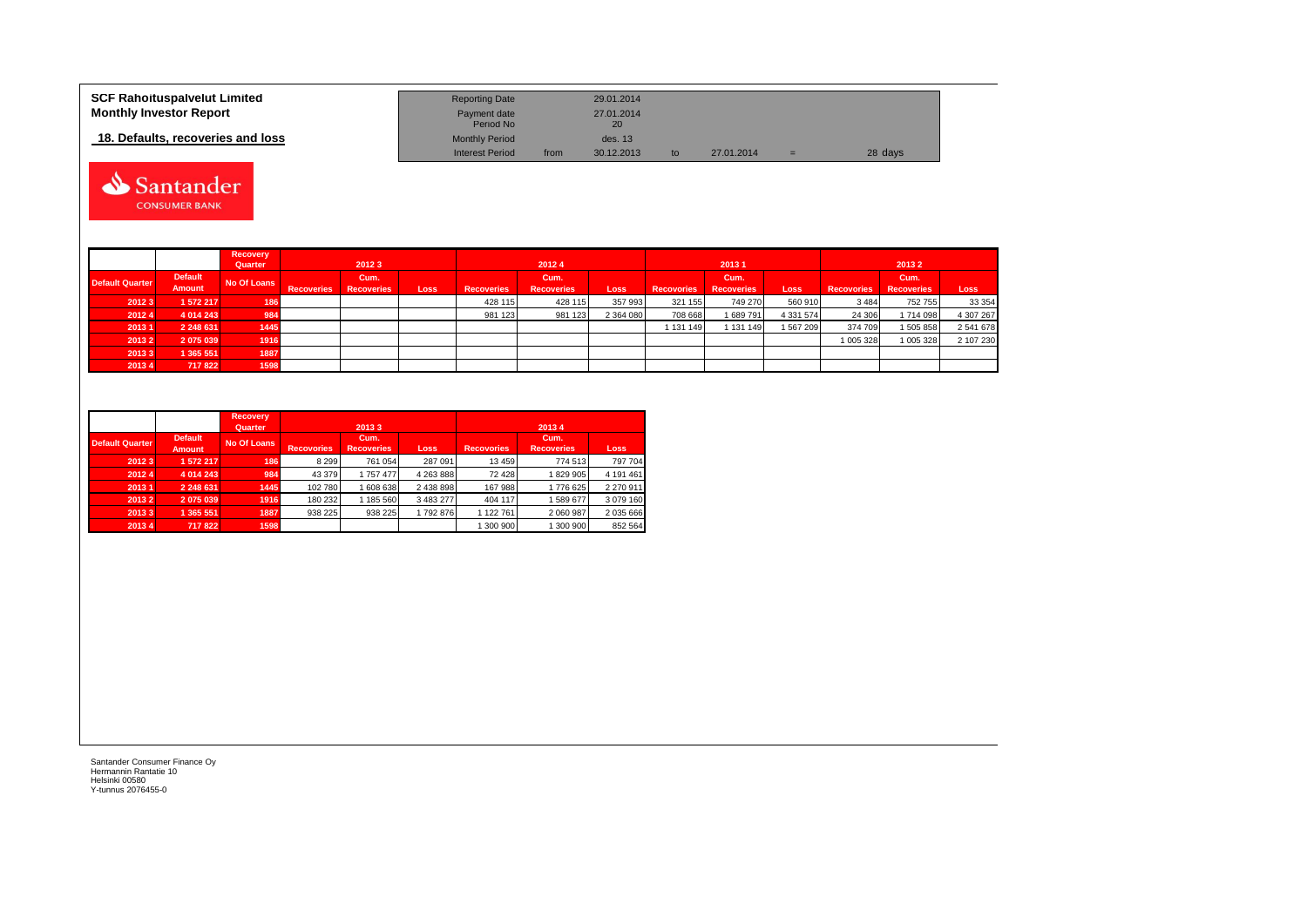| <b>SCF Rahoituspalvelut Limited</b> | <b>Reporting Date</b>     |      | 29.01.2014       |    |            |    |         |
|-------------------------------------|---------------------------|------|------------------|----|------------|----|---------|
| <b>Monthly Investor Report</b>      | Payment date<br>Period No |      | 27.01.2014<br>20 |    |            |    |         |
| 18. Defaults, recoveries and loss   | <b>Monthly Period</b>     |      | des. 13          |    |            |    |         |
|                                     | <b>Interest Period</b>    | from | 30.12.2013       | to | 27.01.2014 | Ξ. | 28 days |



|                        |                | <b>Recovery</b> |                   |                   |      |                   |                   |             |                   |                   |               |                   |                   |           |  |
|------------------------|----------------|-----------------|-------------------|-------------------|------|-------------------|-------------------|-------------|-------------------|-------------------|---------------|-------------------|-------------------|-----------|--|
|                        |                | Quarter         | 20123             |                   |      | 20124             |                   |             |                   | 20131             |               | 20132             |                   |           |  |
| <b>Default Quarter</b> | <b>Default</b> | No Of Loans     |                   | Cum.              |      |                   | Cum.              |             |                   | Cum.              |               |                   | Cum.              |           |  |
|                        | Amount         |                 | <b>Recoveries</b> | <b>Recoveries</b> | Loss | <b>Recoveries</b> | <b>Recoveries</b> | <b>Loss</b> | <b>Recovories</b> | <b>Recoveries</b> | Loss          | <b>Recovories</b> | <b>Recoveries</b> | Loss      |  |
| 2012 3                 | 1 572 217      | 186             |                   |                   |      | 428 115           | 428 115           | 357 993     | 321 155           | 749 270           | 560 910       | 3 4 8 4           | 752 755           | 33 354    |  |
| 2012 4                 | 4 0 14 24 3    | 984             |                   |                   |      | 981 123           | 981 123           | 2 364 080   | 708 668           | 689791            | 4 3 3 1 5 7 4 | 24 30 6           | 1714098           | 4 307 267 |  |
| 20131                  | 2 248 631      | 1445            |                   |                   |      |                   |                   |             | 131 149           | 131 149           | 1567209       | 374 709           | 1 505 858         | 2 541 678 |  |
| 2013 2                 | 2075039        | 1916            |                   |                   |      |                   |                   |             |                   |                   |               | 1 005 328         | 1 005 328         | 2 107 230 |  |
| 20133                  | 1 365 551      | 1887            |                   |                   |      |                   |                   |             |                   |                   |               |                   |                   |           |  |
| 20134                  | 717 822        | 1598            |                   |                   |      |                   |                   |             |                   |                   |               |                   |                   |           |  |

|                        |                                 | <b>Recovery</b><br>Quarter |                   | 20133                     |           |                   | 20134                     |             |
|------------------------|---------------------------------|----------------------------|-------------------|---------------------------|-----------|-------------------|---------------------------|-------------|
| <b>Default Quarter</b> | <b>Default</b><br><b>Amount</b> | No Of Loans                | <b>Recovories</b> | Cum.<br><b>Recoveries</b> | Loss      | <b>Recovories</b> | Cum.<br><b>Recoveries</b> | <b>Loss</b> |
| 2012 3                 | 1 572 217                       | 186                        | 8 2 9 9           | 761 054                   | 287 091   | 13 459            | 774 513                   | 797 704     |
| 2012 4                 | 4 0 14 24 3                     | 984                        | 43 379            | 1757477                   | 4 263 888 | 72 428            | 829 905                   | 4 191 461   |
| 20131                  | 2 248 631                       | 1445                       | 102 780           | 1608638                   | 2 438 898 | 167 988           | 1776 625                  | 2 270 911   |
| 2013 2                 | 2075039                         | 1916                       | 180 232           | 1 185 560                 | 3 483 277 | 404 117           | 589 677                   | 3 079 160   |
| 20133                  | 1 365 551                       | 1887                       | 938 225           | 938 225                   | 1792876   | 1 122 761         | 2 060 987                 | 2 035 666   |
| 2013 4                 | 717 822                         | 1598                       |                   |                           |           | 300 900           | 300 900                   | 852 564     |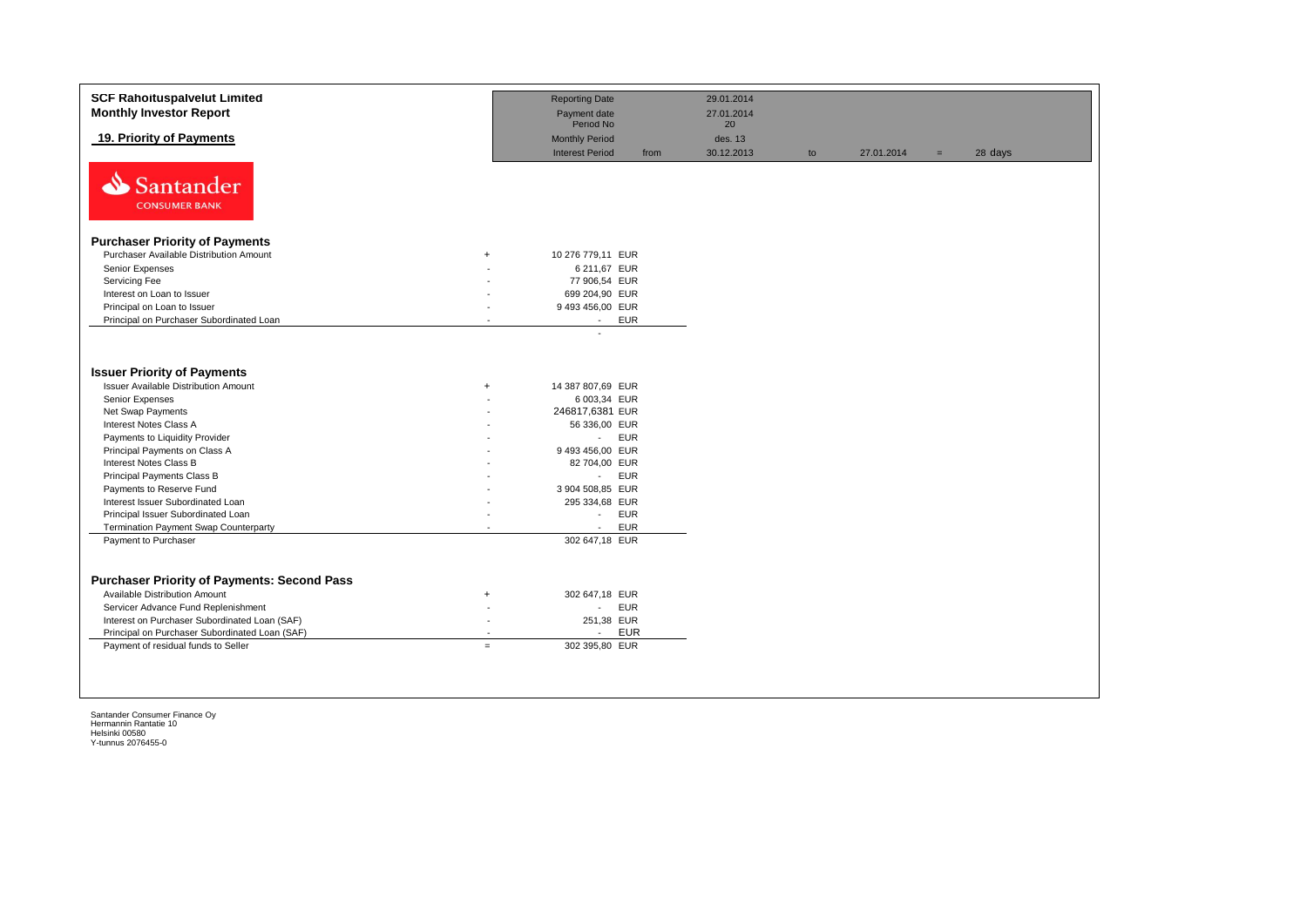| <b>SCF Rahoituspalvelut Limited</b><br><b>Monthly Investor Report</b>                                                                                                                                                                                                                                      |                                              | <b>Reporting Date</b><br>Payment date                                                                                                                                             | 29.01.2014<br>27.01.2014    |    |            |     |         |
|------------------------------------------------------------------------------------------------------------------------------------------------------------------------------------------------------------------------------------------------------------------------------------------------------------|----------------------------------------------|-----------------------------------------------------------------------------------------------------------------------------------------------------------------------------------|-----------------------------|----|------------|-----|---------|
| 19. Priority of Payments                                                                                                                                                                                                                                                                                   |                                              | Period No<br><b>Monthly Period</b><br><b>Interest Period</b><br>from                                                                                                              | 20<br>des. 13<br>30.12.2013 | to | 27.01.2014 | $=$ | 28 days |
| N<br>Santander<br><b>CONSUMER BANK</b>                                                                                                                                                                                                                                                                     |                                              |                                                                                                                                                                                   |                             |    |            |     |         |
| <b>Purchaser Priority of Payments</b>                                                                                                                                                                                                                                                                      |                                              |                                                                                                                                                                                   |                             |    |            |     |         |
| Purchaser Available Distribution Amount                                                                                                                                                                                                                                                                    | $+$                                          | 10 276 779,11 EUR                                                                                                                                                                 |                             |    |            |     |         |
| Senior Expenses                                                                                                                                                                                                                                                                                            |                                              | 6 211,67 EUR                                                                                                                                                                      |                             |    |            |     |         |
| Servicing Fee                                                                                                                                                                                                                                                                                              |                                              | 77 906,54 EUR                                                                                                                                                                     |                             |    |            |     |         |
| Interest on Loan to Issuer                                                                                                                                                                                                                                                                                 |                                              | 699 204,90 EUR                                                                                                                                                                    |                             |    |            |     |         |
| Principal on Loan to Issuer                                                                                                                                                                                                                                                                                |                                              | 9 493 456,00 EUR                                                                                                                                                                  |                             |    |            |     |         |
| Principal on Purchaser Subordinated Loan                                                                                                                                                                                                                                                                   |                                              | <b>EUR</b><br>$\sim$                                                                                                                                                              |                             |    |            |     |         |
| <b>Issuer Priority of Payments</b><br><b>Issuer Available Distribution Amount</b><br>Senior Expenses<br>Net Swap Payments<br>Interest Notes Class A<br>Payments to Liquidity Provider<br>Principal Payments on Class A<br>Interest Notes Class B<br>Principal Payments Class B<br>Payments to Reserve Fund | $\ddot{}$                                    | 14 387 807,69 EUR<br>6 003,34 EUR<br>246817,6381 EUR<br>56 336,00 EUR<br><b>EUR</b><br>$\sim$<br>9 493 456,00 EUR<br>82 704,00 EUR<br><b>EUR</b><br>$\sim 10$<br>3 904 508,85 EUR |                             |    |            |     |         |
| Interest Issuer Subordinated Loan<br>Principal Issuer Subordinated Loan                                                                                                                                                                                                                                    |                                              | 295 334,68 EUR<br><b>EUR</b><br>$\sim$                                                                                                                                            |                             |    |            |     |         |
| <b>Termination Payment Swap Counterparty</b>                                                                                                                                                                                                                                                               |                                              | <b>EUR</b><br>$\sim$                                                                                                                                                              |                             |    |            |     |         |
| Payment to Purchaser                                                                                                                                                                                                                                                                                       |                                              | 302 647,18 EUR                                                                                                                                                                    |                             |    |            |     |         |
| <b>Purchaser Priority of Payments: Second Pass</b><br><b>Available Distribution Amount</b><br>Servicer Advance Fund Replenishment<br>Interest on Purchaser Subordinated Loan (SAF)<br>Principal on Purchaser Subordinated Loan (SAF)<br>Payment of residual funds to Seller                                | $\ddot{}$<br>$\overline{\phantom{a}}$<br>$=$ | 302 647,18 EUR<br><b>EUR</b><br>$\sim$<br>251,38 EUR<br><b>EUR</b><br>$\sim$<br>302 395,80 EUR                                                                                    |                             |    |            |     |         |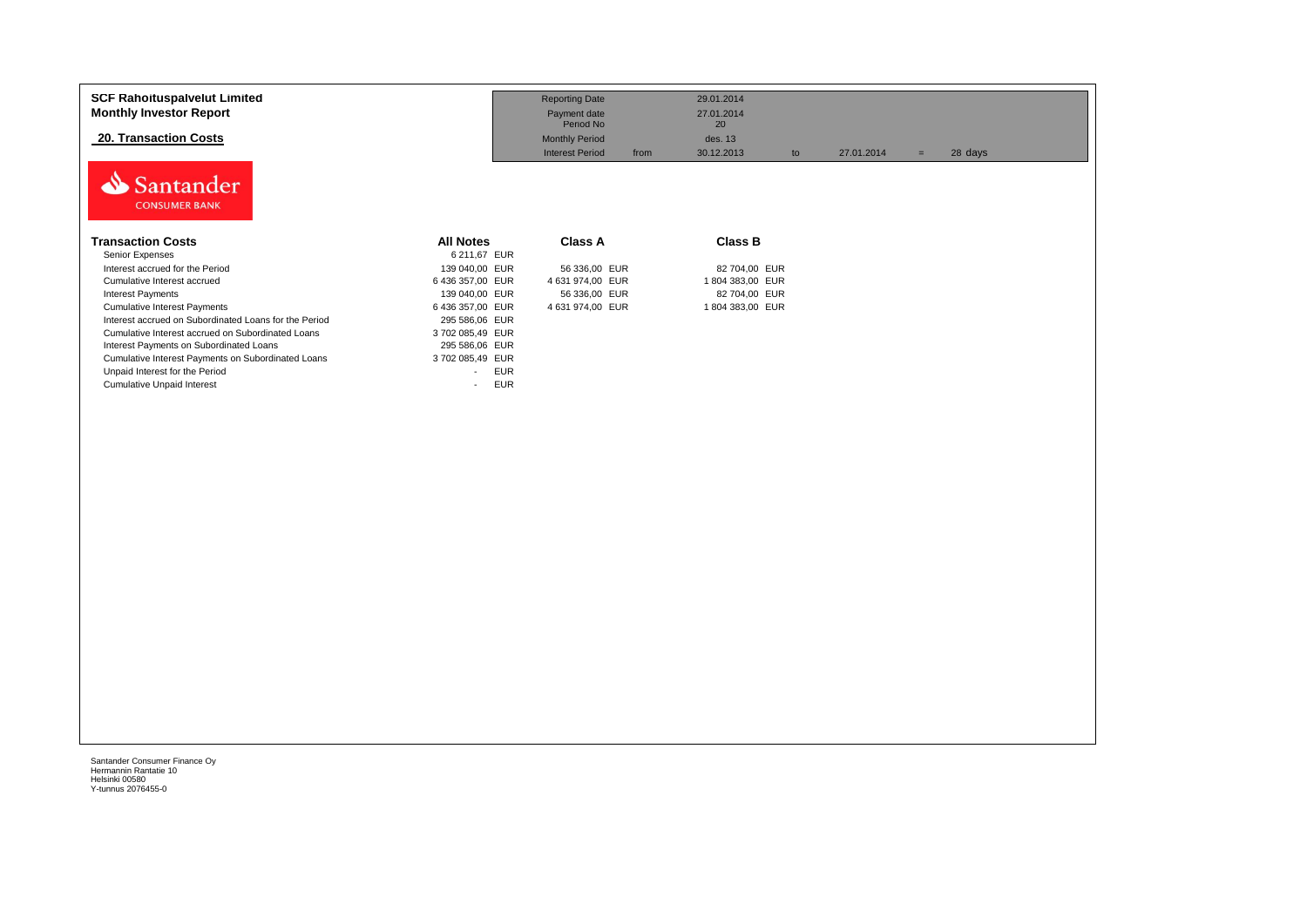| <b>SCF Rahoituspalvelut Limited</b><br><b>Monthly Investor Report</b><br><b>20. Transaction Costs</b> |                                        | <b>Reporting Date</b><br>Payment date<br>Period No<br><b>Monthly Period</b> | 29.01.2014<br>27.01.2014<br>20<br>des. 13 |                  |                |  |
|-------------------------------------------------------------------------------------------------------|----------------------------------------|-----------------------------------------------------------------------------|-------------------------------------------|------------------|----------------|--|
|                                                                                                       |                                        | <b>Interest Period</b><br>from                                              | 30.12.2013                                | 27.01.2014<br>to | 28 days<br>$=$ |  |
| Santander<br><b>CONSUMER BANK</b>                                                                     |                                        |                                                                             |                                           |                  |                |  |
| <b>Transaction Costs</b>                                                                              | <b>All Notes</b>                       | <b>Class A</b>                                                              | <b>Class B</b>                            |                  |                |  |
| Senior Expenses                                                                                       | 6 211,67 EUR                           |                                                                             |                                           |                  |                |  |
| Interest accrued for the Period                                                                       | 139 040,00 EUR                         | 56 336,00 EUR                                                               | 82 704,00 EUR                             |                  |                |  |
| Cumulative Interest accrued                                                                           | 6 436 357,00 EUR                       | 4 631 974,00 EUR                                                            | 1804 383,00 EUR                           |                  |                |  |
| <b>Interest Payments</b>                                                                              | 139 040,00 EUR                         | 56 336,00 EUR                                                               | 82 704,00 EUR                             |                  |                |  |
| <b>Cumulative Interest Payments</b>                                                                   | 6 436 357,00 EUR                       | 4 631 974,00 EUR                                                            | 1804 383,00 EUR                           |                  |                |  |
| Interest accrued on Subordinated Loans for the Period                                                 | 295 586,06 EUR                         |                                                                             |                                           |                  |                |  |
| Cumulative Interest accrued on Subordinated Loans                                                     | 3702 085,49 EUR                        |                                                                             |                                           |                  |                |  |
| Interest Payments on Subordinated Loans                                                               | 295 586,06 EUR                         |                                                                             |                                           |                  |                |  |
| Cumulative Interest Payments on Subordinated Loans                                                    | 3702 085,49 EUR                        |                                                                             |                                           |                  |                |  |
| Unpaid Interest for the Period                                                                        | <b>EUR</b><br>$\overline{\phantom{a}}$ |                                                                             |                                           |                  |                |  |
| <b>Cumulative Unpaid Interest</b>                                                                     | <b>EUR</b><br>$\overline{\phantom{a}}$ |                                                                             |                                           |                  |                |  |
|                                                                                                       |                                        |                                                                             |                                           |                  |                |  |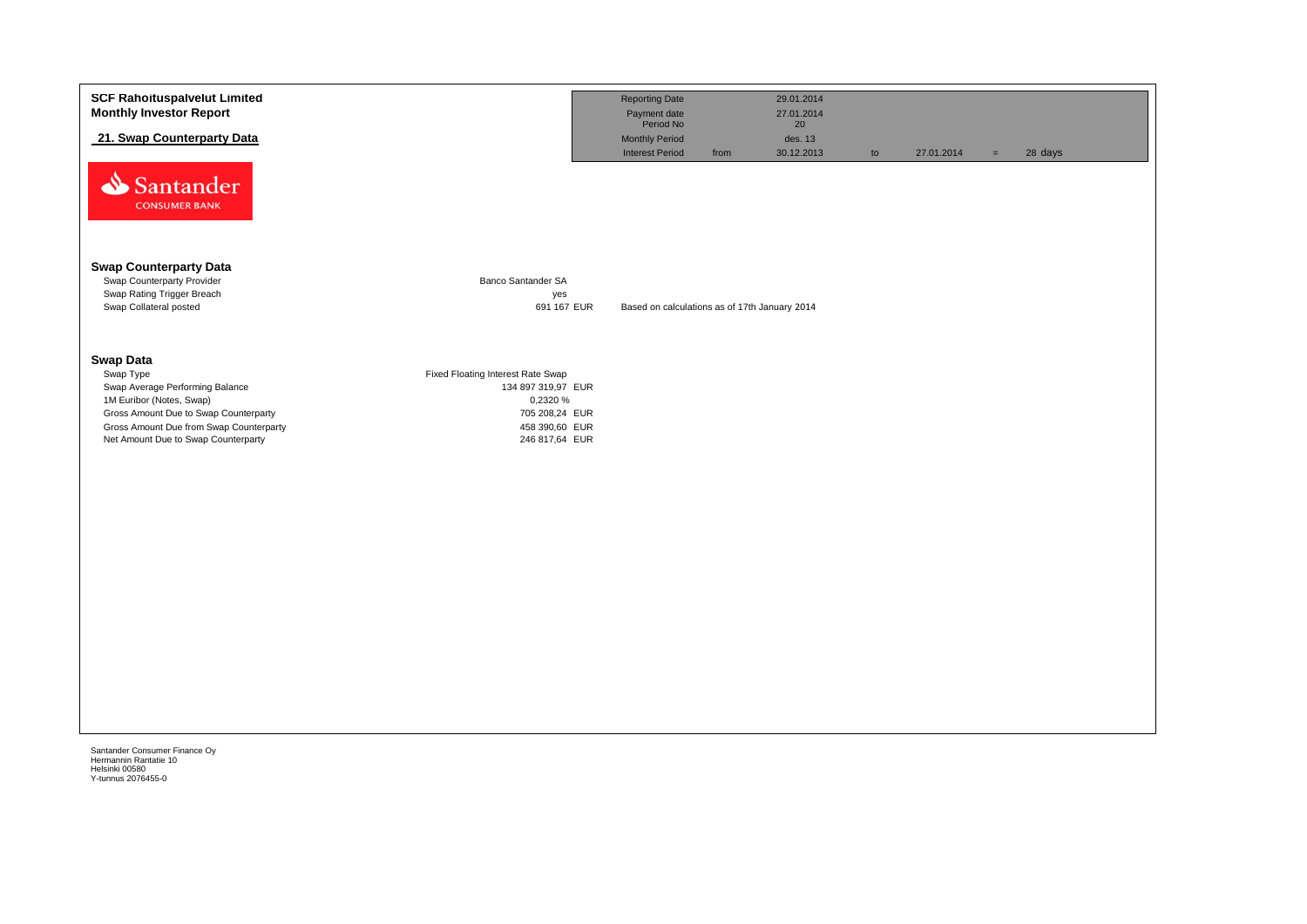| <b>SCF Rahoituspalvelut Limited</b><br><b>Monthly Investor Report</b>                                                                                                                                                   |                                                                                                                           | <b>Reporting Date</b><br>Payment date<br>Period No |      | 29.01.2014<br>27.01.2014    |    |            |     |         |
|-------------------------------------------------------------------------------------------------------------------------------------------------------------------------------------------------------------------------|---------------------------------------------------------------------------------------------------------------------------|----------------------------------------------------|------|-----------------------------|----|------------|-----|---------|
| 21. Swap Counterparty Data                                                                                                                                                                                              |                                                                                                                           | <b>Monthly Period</b><br><b>Interest Period</b>    | from | 20<br>des. 13<br>30.12.2013 | to | 27.01.2014 | $=$ | 28 days |
| Santander<br><b>CONSUMER BANK</b>                                                                                                                                                                                       |                                                                                                                           |                                                    |      |                             |    |            |     |         |
| <b>Swap Counterparty Data</b><br>Swap Counterparty Provider<br>Swap Rating Trigger Breach                                                                                                                               | Banco Santander SA<br>yes                                                                                                 |                                                    |      |                             |    |            |     |         |
| Swap Collateral posted                                                                                                                                                                                                  | 691 167 EUR                                                                                                               | Based on calculations as of 17th January 2014      |      |                             |    |            |     |         |
| <b>Swap Data</b><br>Swap Type<br>Swap Average Performing Balance<br>1M Euribor (Notes, Swap)<br>Gross Amount Due to Swap Counterparty<br>Gross Amount Due from Swap Counterparty<br>Net Amount Due to Swap Counterparty | Fixed Floating Interest Rate Swap<br>134 897 319,97 EUR<br>0,2320 %<br>705 208,24 EUR<br>458 390,60 EUR<br>246 817,64 EUR |                                                    |      |                             |    |            |     |         |
|                                                                                                                                                                                                                         |                                                                                                                           |                                                    |      |                             |    |            |     |         |
|                                                                                                                                                                                                                         |                                                                                                                           |                                                    |      |                             |    |            |     |         |
|                                                                                                                                                                                                                         |                                                                                                                           |                                                    |      |                             |    |            |     |         |
|                                                                                                                                                                                                                         |                                                                                                                           |                                                    |      |                             |    |            |     |         |
|                                                                                                                                                                                                                         |                                                                                                                           |                                                    |      |                             |    |            |     |         |
|                                                                                                                                                                                                                         |                                                                                                                           |                                                    |      |                             |    |            |     |         |
|                                                                                                                                                                                                                         |                                                                                                                           |                                                    |      |                             |    |            |     |         |
| Santander Consumer Finance Oy<br>Hermannin Rantatie 10<br>Helsinki 00580                                                                                                                                                |                                                                                                                           |                                                    |      |                             |    |            |     |         |

Helsinki 00580 Y-tunnus 2076455-0